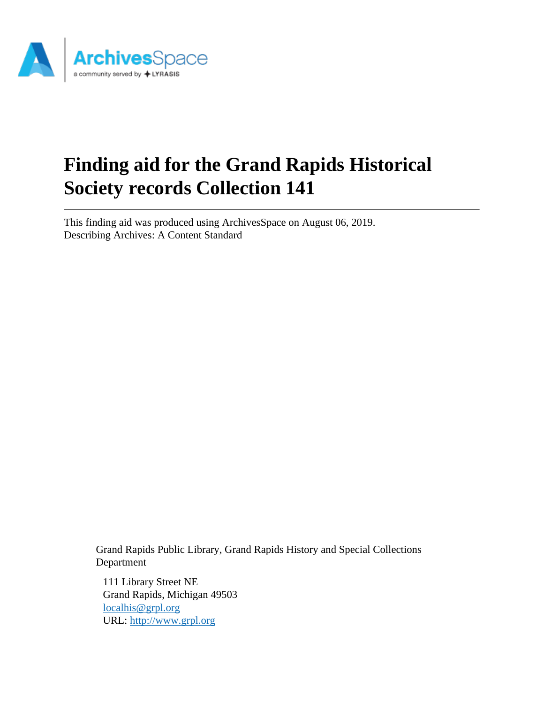

# **Finding aid for the Grand Rapids Historical Society records Collection 141**

This finding aid was produced using ArchivesSpace on August 06, 2019. Describing Archives: A Content Standard

> Grand Rapids Public Library, Grand Rapids History and Special Collections Department

111 Library Street NE Grand Rapids, Michigan 49503 [localhis@grpl.org](mailto:localhis@grpl.org) URL:<http://www.grpl.org>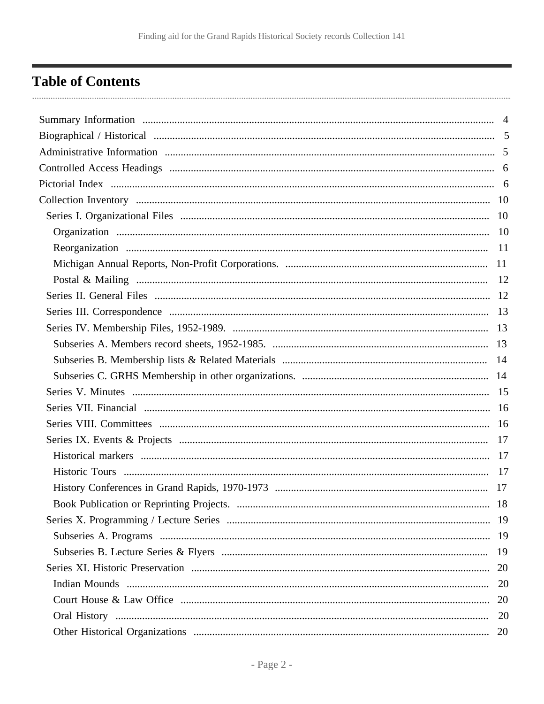# <span id="page-1-0"></span>**Table of Contents**

| -19       |
|-----------|
| 20        |
|           |
| 20        |
| <b>20</b> |
| 20        |
|           |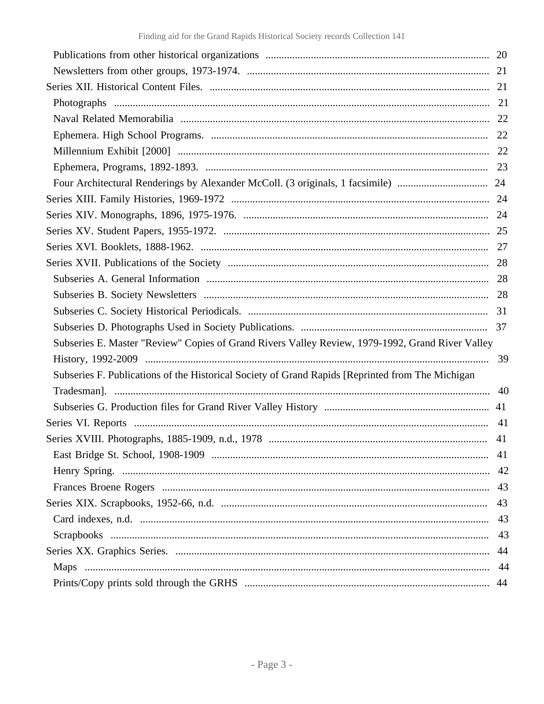| Subseries E. Master "Review" Copies of Grand Rivers Valley Review, 1979-1992, Grand River Valley |    |
|--------------------------------------------------------------------------------------------------|----|
|                                                                                                  |    |
| Subseries F. Publications of the Historical Society of Grand Rapids [Reprinted from The Michigan |    |
|                                                                                                  |    |
|                                                                                                  |    |
|                                                                                                  | 41 |
|                                                                                                  |    |
|                                                                                                  | 41 |
|                                                                                                  |    |
|                                                                                                  | 43 |
|                                                                                                  | 43 |
|                                                                                                  | 43 |
|                                                                                                  | 43 |
|                                                                                                  | 44 |
|                                                                                                  | 44 |
|                                                                                                  |    |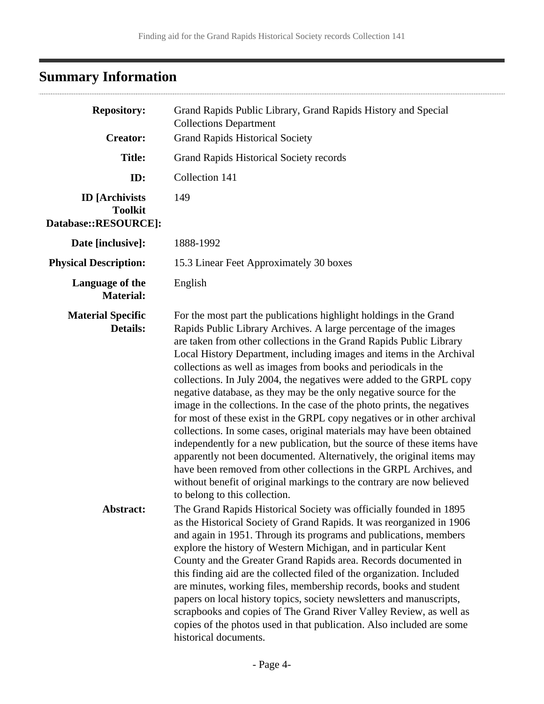# <span id="page-3-0"></span>**Summary Information**

| <b>Repository:</b>                                              | Grand Rapids Public Library, Grand Rapids History and Special<br><b>Collections Department</b>                                                                                                                                                                                                                                                                                                                                                                                                                                                                                                                                                                                                                                                                                                                                                                                                                                                                                                                                                                                                                                                   |
|-----------------------------------------------------------------|--------------------------------------------------------------------------------------------------------------------------------------------------------------------------------------------------------------------------------------------------------------------------------------------------------------------------------------------------------------------------------------------------------------------------------------------------------------------------------------------------------------------------------------------------------------------------------------------------------------------------------------------------------------------------------------------------------------------------------------------------------------------------------------------------------------------------------------------------------------------------------------------------------------------------------------------------------------------------------------------------------------------------------------------------------------------------------------------------------------------------------------------------|
| <b>Creator:</b>                                                 | <b>Grand Rapids Historical Society</b>                                                                                                                                                                                                                                                                                                                                                                                                                                                                                                                                                                                                                                                                                                                                                                                                                                                                                                                                                                                                                                                                                                           |
| <b>Title:</b>                                                   | <b>Grand Rapids Historical Society records</b>                                                                                                                                                                                                                                                                                                                                                                                                                                                                                                                                                                                                                                                                                                                                                                                                                                                                                                                                                                                                                                                                                                   |
| ID:                                                             | Collection 141                                                                                                                                                                                                                                                                                                                                                                                                                                                                                                                                                                                                                                                                                                                                                                                                                                                                                                                                                                                                                                                                                                                                   |
| <b>ID</b> [Archivists<br><b>Toolkit</b><br>Database::RESOURCE]: | 149                                                                                                                                                                                                                                                                                                                                                                                                                                                                                                                                                                                                                                                                                                                                                                                                                                                                                                                                                                                                                                                                                                                                              |
| Date [inclusive]:                                               | 1888-1992                                                                                                                                                                                                                                                                                                                                                                                                                                                                                                                                                                                                                                                                                                                                                                                                                                                                                                                                                                                                                                                                                                                                        |
| <b>Physical Description:</b>                                    | 15.3 Linear Feet Approximately 30 boxes                                                                                                                                                                                                                                                                                                                                                                                                                                                                                                                                                                                                                                                                                                                                                                                                                                                                                                                                                                                                                                                                                                          |
| Language of the<br><b>Material:</b>                             | English                                                                                                                                                                                                                                                                                                                                                                                                                                                                                                                                                                                                                                                                                                                                                                                                                                                                                                                                                                                                                                                                                                                                          |
| <b>Material Specific</b><br><b>Details:</b><br>Abstract:        | For the most part the publications highlight holdings in the Grand<br>Rapids Public Library Archives. A large percentage of the images<br>are taken from other collections in the Grand Rapids Public Library<br>Local History Department, including images and items in the Archival<br>collections as well as images from books and periodicals in the<br>collections. In July 2004, the negatives were added to the GRPL copy<br>negative database, as they may be the only negative source for the<br>image in the collections. In the case of the photo prints, the negatives<br>for most of these exist in the GRPL copy negatives or in other archival<br>collections. In some cases, original materials may have been obtained<br>independently for a new publication, but the source of these items have<br>apparently not been documented. Alternatively, the original items may<br>have been removed from other collections in the GRPL Archives, and<br>without benefit of original markings to the contrary are now believed<br>to belong to this collection.<br>The Grand Rapids Historical Society was officially founded in 1895 |
|                                                                 | as the Historical Society of Grand Rapids. It was reorganized in 1906<br>and again in 1951. Through its programs and publications, members<br>explore the history of Western Michigan, and in particular Kent<br>County and the Greater Grand Rapids area. Records documented in<br>this finding aid are the collected filed of the organization. Included<br>are minutes, working files, membership records, books and student<br>papers on local history topics, society newsletters and manuscripts,<br>scrapbooks and copies of The Grand River Valley Review, as well as<br>copies of the photos used in that publication. Also included are some<br>historical documents.                                                                                                                                                                                                                                                                                                                                                                                                                                                                  |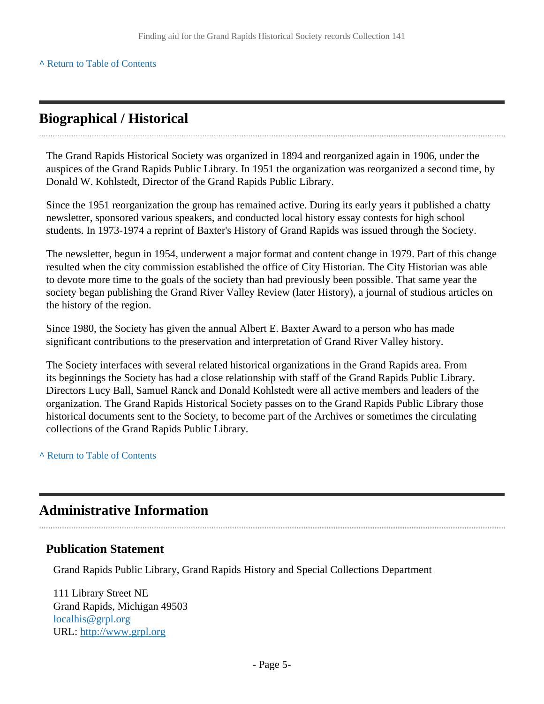## <span id="page-4-0"></span>**Biographical / Historical**

The Grand Rapids Historical Society was organized in 1894 and reorganized again in 1906, under the auspices of the Grand Rapids Public Library. In 1951 the organization was reorganized a second time, by Donald W. Kohlstedt, Director of the Grand Rapids Public Library.

Since the 1951 reorganization the group has remained active. During its early years it published a chatty newsletter, sponsored various speakers, and conducted local history essay contests for high school students. In 1973-1974 a reprint of Baxter's History of Grand Rapids was issued through the Society.

The newsletter, begun in 1954, underwent a major format and content change in 1979. Part of this change resulted when the city commission established the office of City Historian. The City Historian was able to devote more time to the goals of the society than had previously been possible. That same year the society began publishing the Grand River Valley Review (later History), a journal of studious articles on the history of the region.

Since 1980, the Society has given the annual Albert E. Baxter Award to a person who has made significant contributions to the preservation and interpretation of Grand River Valley history.

The Society interfaces with several related historical organizations in the Grand Rapids area. From its beginnings the Society has had a close relationship with staff of the Grand Rapids Public Library. Directors Lucy Ball, Samuel Ranck and Donald Kohlstedt were all active members and leaders of the organization. The Grand Rapids Historical Society passes on to the Grand Rapids Public Library those historical documents sent to the Society, to become part of the Archives or sometimes the circulating collections of the Grand Rapids Public Library.

**^** [Return to Table of Contents](#page-1-0)

## <span id="page-4-1"></span>**Administrative Information**

### **Publication Statement**

Grand Rapids Public Library, Grand Rapids History and Special Collections Department

111 Library Street NE Grand Rapids, Michigan 49503 [localhis@grpl.org](mailto:localhis@grpl.org) URL:<http://www.grpl.org>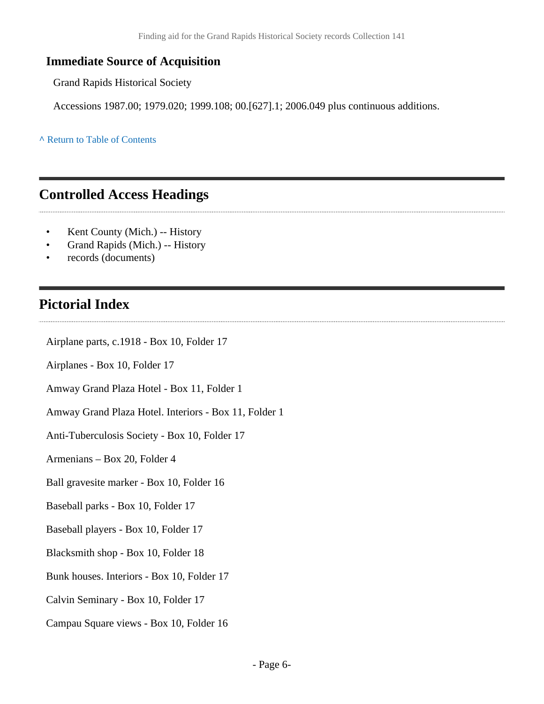### **Immediate Source of Acquisition**

Grand Rapids Historical Society

Accessions 1987.00; 1979.020; 1999.108; 00.[627].1; 2006.049 plus continuous additions.

**^** [Return to Table of Contents](#page-1-0)

## <span id="page-5-0"></span>**Controlled Access Headings**

- Kent County (Mich.) -- History
- Grand Rapids (Mich.) -- History
- records (documents)

## <span id="page-5-1"></span>**Pictorial Index**

Airplane parts, c.1918 - Box 10, Folder 17

Airplanes - Box 10, Folder 17

Amway Grand Plaza Hotel - Box 11, Folder 1

Amway Grand Plaza Hotel. Interiors - Box 11, Folder 1

Anti-Tuberculosis Society - Box 10, Folder 17

Armenians – Box 20, Folder 4

Ball gravesite marker - Box 10, Folder 16

Baseball parks - Box 10, Folder 17

Baseball players - Box 10, Folder 17

Blacksmith shop - Box 10, Folder 18

Bunk houses. Interiors - Box 10, Folder 17

Calvin Seminary - Box 10, Folder 17

Campau Square views - Box 10, Folder 16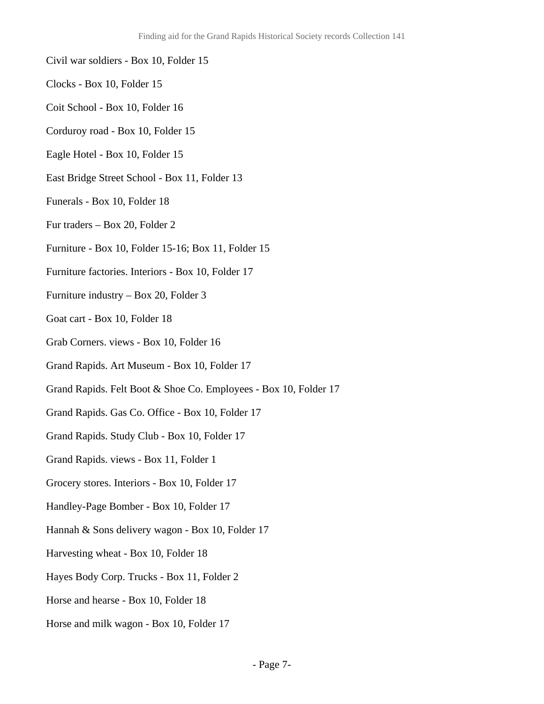- Civil war soldiers Box 10, Folder 15
- Clocks Box 10, Folder 15
- Coit School Box 10, Folder 16
- Corduroy road Box 10, Folder 15
- Eagle Hotel Box 10, Folder 15
- East Bridge Street School Box 11, Folder 13
- Funerals Box 10, Folder 18
- Fur traders Box 20, Folder 2
- Furniture Box 10, Folder 15-16; Box 11, Folder 15
- Furniture factories. Interiors Box 10, Folder 17
- Furniture industry Box 20, Folder 3
- Goat cart Box 10, Folder 18
- Grab Corners. views Box 10, Folder 16
- Grand Rapids. Art Museum Box 10, Folder 17
- Grand Rapids. Felt Boot & Shoe Co. Employees Box 10, Folder 17
- Grand Rapids. Gas Co. Office Box 10, Folder 17
- Grand Rapids. Study Club Box 10, Folder 17
- Grand Rapids. views Box 11, Folder 1
- Grocery stores. Interiors Box 10, Folder 17
- Handley-Page Bomber Box 10, Folder 17
- Hannah & Sons delivery wagon Box 10, Folder 17
- Harvesting wheat Box 10, Folder 18
- Hayes Body Corp. Trucks Box 11, Folder 2
- Horse and hearse Box 10, Folder 18
- Horse and milk wagon Box 10, Folder 17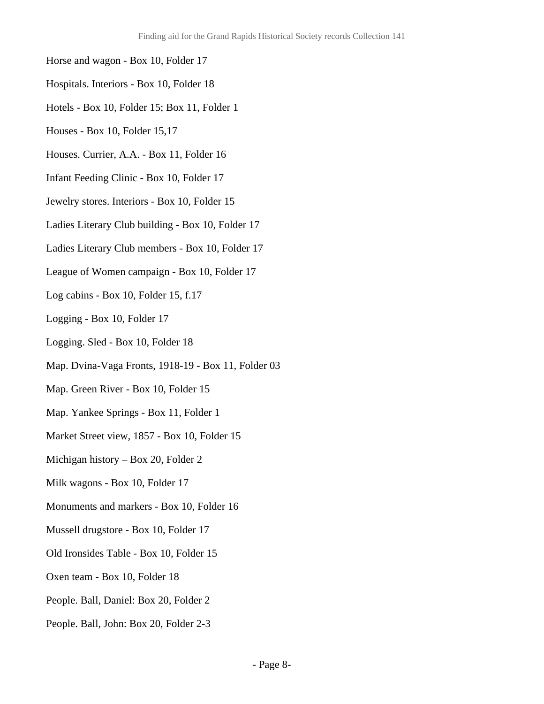- Horse and wagon Box 10, Folder 17
- Hospitals. Interiors Box 10, Folder 18
- Hotels Box 10, Folder 15; Box 11, Folder 1
- Houses Box 10, Folder 15,17
- Houses. Currier, A.A. Box 11, Folder 16
- Infant Feeding Clinic Box 10, Folder 17
- Jewelry stores. Interiors Box 10, Folder 15
- Ladies Literary Club building Box 10, Folder 17
- Ladies Literary Club members Box 10, Folder 17
- League of Women campaign Box 10, Folder 17
- Log cabins Box 10, Folder 15, f.17
- Logging Box 10, Folder 17
- Logging. Sled Box 10, Folder 18
- Map. Dvina-Vaga Fronts, 1918-19 Box 11, Folder 03
- Map. Green River Box 10, Folder 15
- Map. Yankee Springs Box 11, Folder 1
- Market Street view, 1857 Box 10, Folder 15
- Michigan history Box 20, Folder 2
- Milk wagons Box 10, Folder 17
- Monuments and markers Box 10, Folder 16
- Mussell drugstore Box 10, Folder 17
- Old Ironsides Table Box 10, Folder 15
- Oxen team Box 10, Folder 18
- People. Ball, Daniel: Box 20, Folder 2
- People. Ball, John: Box 20, Folder 2-3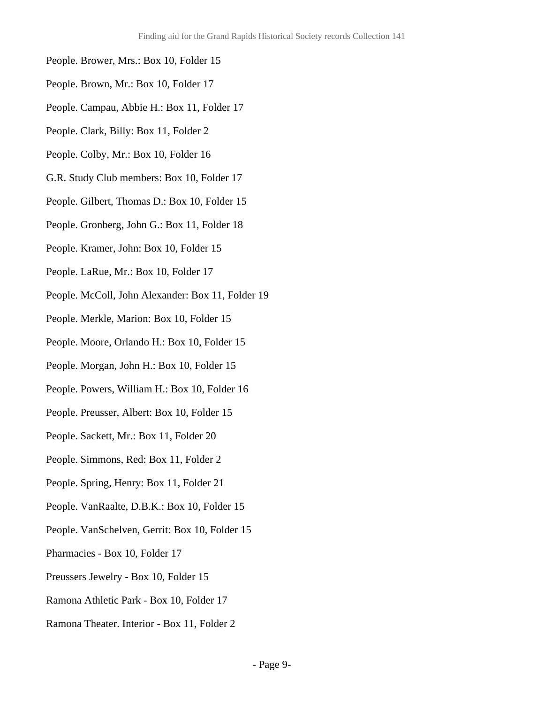- People. Brower, Mrs.: Box 10, Folder 15
- People. Brown, Mr.: Box 10, Folder 17
- People. Campau, Abbie H.: Box 11, Folder 17
- People. Clark, Billy: Box 11, Folder 2
- People. Colby, Mr.: Box 10, Folder 16
- G.R. Study Club members: Box 10, Folder 17
- People. Gilbert, Thomas D.: Box 10, Folder 15
- People. Gronberg, John G.: Box 11, Folder 18
- People. Kramer, John: Box 10, Folder 15
- People. LaRue, Mr.: Box 10, Folder 17
- People. McColl, John Alexander: Box 11, Folder 19
- People. Merkle, Marion: Box 10, Folder 15
- People. Moore, Orlando H.: Box 10, Folder 15
- People. Morgan, John H.: Box 10, Folder 15
- People. Powers, William H.: Box 10, Folder 16
- People. Preusser, Albert: Box 10, Folder 15
- People. Sackett, Mr.: Box 11, Folder 20
- People. Simmons, Red: Box 11, Folder 2
- People. Spring, Henry: Box 11, Folder 21
- People. VanRaalte, D.B.K.: Box 10, Folder 15
- People. VanSchelven, Gerrit: Box 10, Folder 15
- Pharmacies Box 10, Folder 17
- Preussers Jewelry Box 10, Folder 15
- Ramona Athletic Park Box 10, Folder 17
- Ramona Theater. Interior Box 11, Folder 2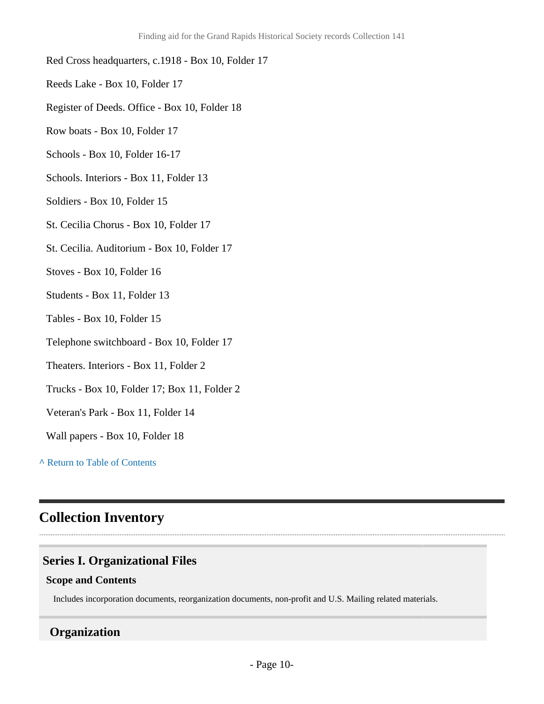- Red Cross headquarters, c.1918 Box 10, Folder 17
- Reeds Lake Box 10, Folder 17
- Register of Deeds. Office Box 10, Folder 18
- Row boats Box 10, Folder 17
- Schools Box 10, Folder 16-17
- Schools. Interiors Box 11, Folder 13
- Soldiers Box 10, Folder 15
- St. Cecilia Chorus Box 10, Folder 17
- St. Cecilia. Auditorium Box 10, Folder 17
- Stoves Box 10, Folder 16
- Students Box 11, Folder 13
- Tables Box 10, Folder 15
- Telephone switchboard Box 10, Folder 17
- Theaters. Interiors Box 11, Folder 2
- Trucks Box 10, Folder 17; Box 11, Folder 2
- Veteran's Park Box 11, Folder 14
- Wall papers Box 10, Folder 18

## <span id="page-9-0"></span>**Collection Inventory**

### <span id="page-9-1"></span>**Series I. Organizational Files**

#### **Scope and Contents**

Includes incorporation documents, reorganization documents, non-profit and U.S. Mailing related materials.

### <span id="page-9-2"></span>**Organization**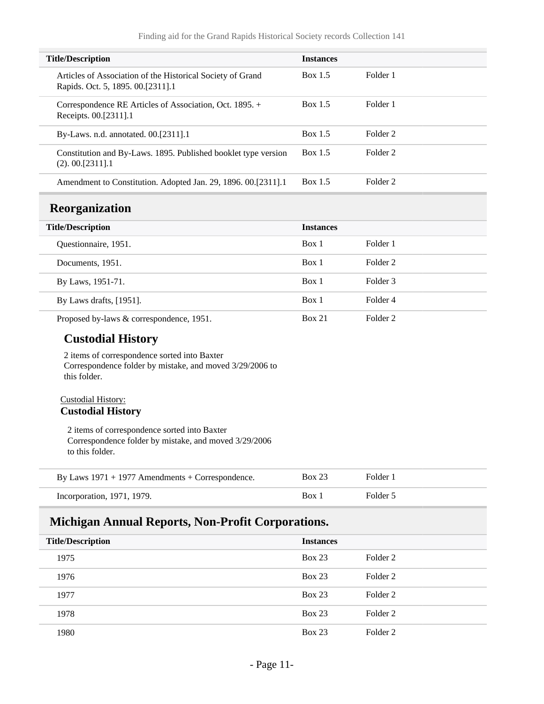<span id="page-10-0"></span>

| <b>Title/Description</b>                                                                                                 | <b>Instances</b> |                     |
|--------------------------------------------------------------------------------------------------------------------------|------------------|---------------------|
| Articles of Association of the Historical Society of Grand<br>Rapids. Oct. 5, 1895. 00.[2311].1                          | <b>Box 1.5</b>   | Folder 1            |
| Correspondence RE Articles of Association, Oct. 1895. +<br>Receipts. 00.[2311].1                                         | Box 1.5          | Folder 1            |
| By-Laws. n.d. annotated. 00.[2311].1                                                                                     | <b>Box 1.5</b>   | Folder <sub>2</sub> |
| Constitution and By-Laws. 1895. Published booklet type version<br>$(2)$ , 00.[2311].1                                    | <b>Box 1.5</b>   | Folder <sub>2</sub> |
| Amendment to Constitution. Adopted Jan. 29, 1896. 00.[2311].1                                                            | <b>Box 1.5</b>   | Folder <sub>2</sub> |
| Reorganization                                                                                                           |                  |                     |
| <b>Title/Description</b>                                                                                                 | <b>Instances</b> |                     |
| Questionnaire, 1951.                                                                                                     | Box 1            | Folder 1            |
| Documents, 1951.                                                                                                         | Box 1            | Folder <sub>2</sub> |
| By Laws, 1951-71.                                                                                                        | Box 1            | Folder <sub>3</sub> |
| By Laws drafts, [1951].                                                                                                  | Box 1            | Folder 4            |
| Proposed by-laws & correspondence, 1951.                                                                                 | <b>Box 21</b>    | Folder <sub>2</sub> |
| <b>Custodial History</b>                                                                                                 |                  |                     |
| 2 items of correspondence sorted into Baxter<br>Correspondence folder by mistake, and moved 3/29/2006 to<br>this folder. |                  |                     |
| <b>Custodial History:</b><br><b>Custodial History</b>                                                                    |                  |                     |

2 items of correspondence sorted into Baxter Correspondence folder by mistake, and moved 3/29/2006 to this folder.

| By Laws $1971 + 1977$ Amendments + Correspondence. | Box 23 | Folder 1 |
|----------------------------------------------------|--------|----------|
| Incorporation, 1971, 1979.                         | Rox 1  | Folder 5 |

## <span id="page-10-1"></span>**Michigan Annual Reports, Non-Profit Corporations.**

| <b>Title/Description</b> | <b>Instances</b> |          |
|--------------------------|------------------|----------|
| 1975                     | <b>Box 23</b>    | Folder 2 |
| 1976                     | <b>Box 23</b>    | Folder 2 |
| 1977                     | <b>Box 23</b>    | Folder 2 |
| 1978                     | <b>Box 23</b>    | Folder 2 |
| 1980                     | <b>Box 23</b>    | Folder 2 |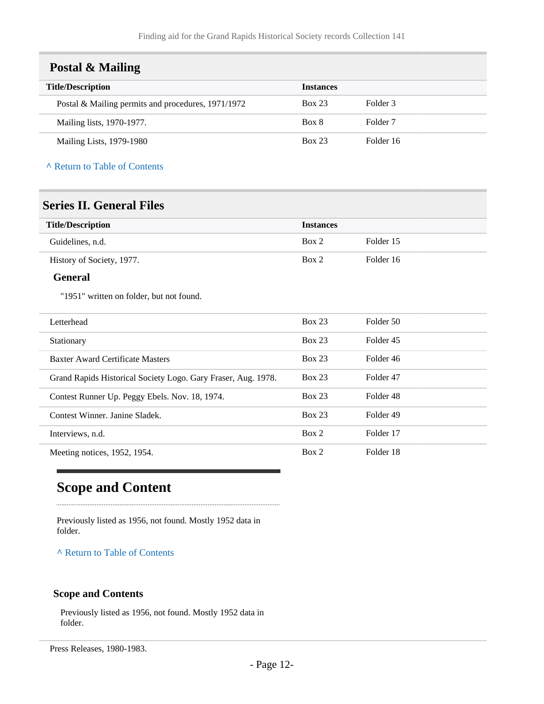## <span id="page-11-0"></span>**Postal & Mailing**

| <b>Title/Description</b>                           | <b>Instances</b> |                     |
|----------------------------------------------------|------------------|---------------------|
| Postal & Mailing permits and procedures, 1971/1972 | <b>Box 23</b>    | Folder 3            |
| Mailing lists, 1970-1977.                          | Box 8            | Folder <sub>7</sub> |
| Mailing Lists, 1979-1980                           | <b>Box 23</b>    | Folder 16           |

**^** [Return to Table of Contents](#page-1-0)

### <span id="page-11-1"></span>**Series II. General Files**

| <b>Title/Description</b>  | <b>Instances</b> |           |
|---------------------------|------------------|-----------|
| Guidelines, n.d.          | Box 2            | Folder 15 |
| History of Society, 1977. | Box 2            | Folder 16 |

#### **General**

"1951" written on folder, but not found.

| Letterhead                                                    | Box 23        | Folder 50 |
|---------------------------------------------------------------|---------------|-----------|
| Stationary                                                    | <b>Box 23</b> | Folder 45 |
| <b>Baxter Award Certificate Masters</b>                       | <b>Box 23</b> | Folder 46 |
| Grand Rapids Historical Society Logo. Gary Fraser, Aug. 1978. | <b>Box 23</b> | Folder 47 |
| Contest Runner Up. Peggy Ebels. Nov. 18, 1974.                | <b>Box 23</b> | Folder 48 |
| Contest Winner, Janine Sladek.                                | <b>Box 23</b> | Folder 49 |
| Interviews, n.d.                                              | Box 2         | Folder 17 |
| Meeting notices, 1952, 1954.                                  | Box 2         | Folder 18 |

## **Scope and Content**

Previously listed as 1956, not found. Mostly 1952 data in folder.

**^** [Return to Table of Contents](#page-1-0)

#### **Scope and Contents**

Previously listed as 1956, not found. Mostly 1952 data in folder.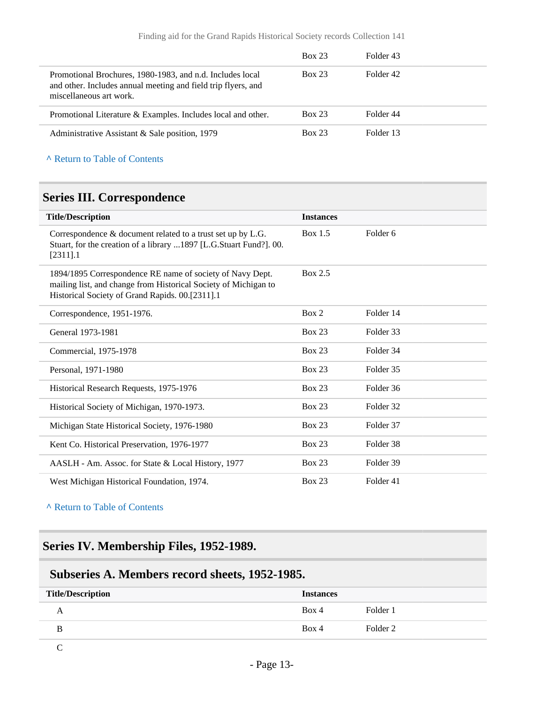|                                                                                                                                                       | <b>Box 23</b> | Folder 43 |
|-------------------------------------------------------------------------------------------------------------------------------------------------------|---------------|-----------|
| Promotional Brochures, 1980-1983, and n.d. Includes local<br>and other. Includes annual meeting and field trip flyers, and<br>miscellaneous art work. | <b>Box 23</b> | Folder 42 |
| Promotional Literature & Examples. Includes local and other.                                                                                          | <b>Box 23</b> | Folder 44 |
| Administrative Assistant $&$ Sale position, 1979                                                                                                      | <b>Box 23</b> | Folder 13 |

## <span id="page-12-0"></span>**Series III. Correspondence**

| <b>Title/Description</b>                                                                                                                                                        | <b>Instances</b> |                      |
|---------------------------------------------------------------------------------------------------------------------------------------------------------------------------------|------------------|----------------------|
| Correspondence & document related to a trust set up by L.G.<br>Stuart, for the creation of a library 1897 [L.G.Stuart Fund?]. 00.<br>$[2311]$ .1                                | Box 1.5          | Folder 6             |
| 1894/1895 Correspondence RE name of society of Navy Dept.<br>mailing list, and change from Historical Society of Michigan to<br>Historical Society of Grand Rapids. 00.[2311].1 | Box 2.5          |                      |
| Correspondence, 1951-1976.                                                                                                                                                      | Box 2            | Folder 14            |
| General 1973-1981                                                                                                                                                               | Box 23           | Folder 33            |
| Commercial, 1975-1978                                                                                                                                                           | Box 23           | Folder 34            |
| Personal, 1971-1980                                                                                                                                                             | <b>Box 23</b>    | Folder 35            |
| Historical Research Requests, 1975-1976                                                                                                                                         | Box 23           | Folder 36            |
| Historical Society of Michigan, 1970-1973.                                                                                                                                      | <b>Box 23</b>    | Folder 32            |
| Michigan State Historical Society, 1976-1980                                                                                                                                    | Box 23           | Folder 37            |
| Kent Co. Historical Preservation, 1976-1977                                                                                                                                     | Box 23           | Folder 38            |
| AASLH - Am. Assoc. for State & Local History, 1977                                                                                                                              | <b>Box 23</b>    | Folder 39            |
| West Michigan Historical Foundation, 1974.                                                                                                                                      | Box 23           | Folder <sub>41</sub> |

**^** [Return to Table of Contents](#page-1-0)

## <span id="page-12-1"></span>**Series IV. Membership Files, 1952-1989.**

## <span id="page-12-2"></span>**Subseries A. Members record sheets, 1952-1985.**

| <b>Title/Description</b> | <b>Instances</b> |          |
|--------------------------|------------------|----------|
|                          | Box 4            | Folder 1 |
| В                        | Box 4            | Folder 2 |

C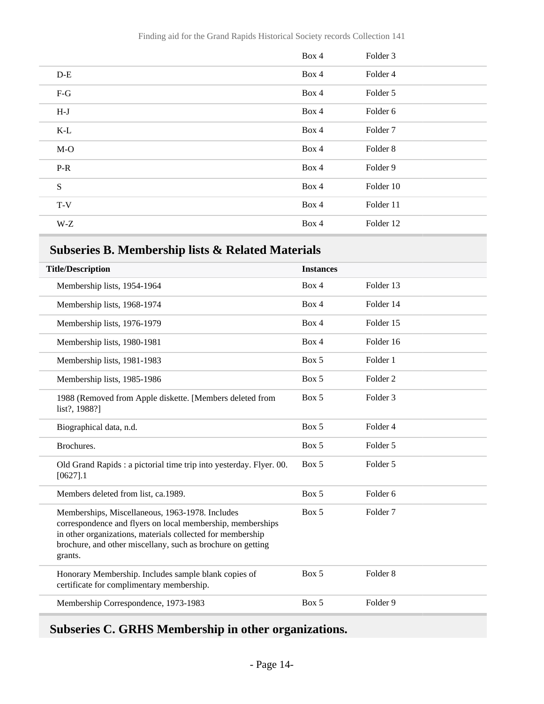|       | Box 4 | Folder 3            |
|-------|-------|---------------------|
| $D-E$ | Box 4 | Folder 4            |
| $F-G$ | Box 4 | Folder 5            |
| $H-J$ | Box 4 | Folder 6            |
| $K-L$ | Box 4 | Folder <sub>7</sub> |
| $M-O$ | Box 4 | Folder <sub>8</sub> |
| $P-R$ | Box 4 | Folder 9            |
| S     | Box 4 | Folder 10           |
| $T-V$ | Box 4 | Folder 11           |
| W-Z   | Box 4 | Folder 12           |

## <span id="page-13-0"></span>**Subseries B. Membership lists & Related Materials**

| <b>Title/Description</b>                                                                                                                                                                                                                              | <b>Instances</b> |                     |
|-------------------------------------------------------------------------------------------------------------------------------------------------------------------------------------------------------------------------------------------------------|------------------|---------------------|
| Membership lists, 1954-1964                                                                                                                                                                                                                           | Box 4            | Folder 13           |
| Membership lists, 1968-1974                                                                                                                                                                                                                           | Box 4            | Folder 14           |
| Membership lists, 1976-1979                                                                                                                                                                                                                           | Box 4            | Folder 15           |
| Membership lists, 1980-1981                                                                                                                                                                                                                           | Box 4            | Folder 16           |
| Membership lists, 1981-1983                                                                                                                                                                                                                           | Box 5            | Folder 1            |
| Membership lists, 1985-1986                                                                                                                                                                                                                           | Box 5            | Folder <sub>2</sub> |
| 1988 (Removed from Apple diskette. [Members deleted from<br>list?, 1988?]                                                                                                                                                                             | Box 5            | Folder <sub>3</sub> |
| Biographical data, n.d.                                                                                                                                                                                                                               | Box 5            | Folder 4            |
| Brochures.                                                                                                                                                                                                                                            | Box 5            | Folder 5            |
| Old Grand Rapids: a pictorial time trip into yesterday. Flyer. 00.<br>$[0627]$ .1                                                                                                                                                                     | Box 5            | Folder 5            |
| Members deleted from list, ca.1989.                                                                                                                                                                                                                   | Box 5            | Folder <sub>6</sub> |
| Memberships, Miscellaneous, 1963-1978. Includes<br>correspondence and flyers on local membership, memberships<br>in other organizations, materials collected for membership<br>brochure, and other miscellany, such as brochure on getting<br>grants. | Box 5            | Folder <sub>7</sub> |
| Honorary Membership. Includes sample blank copies of<br>certificate for complimentary membership.                                                                                                                                                     | Box 5            | Folder <sub>8</sub> |
| Membership Correspondence, 1973-1983                                                                                                                                                                                                                  | Box 5            | Folder <sub>9</sub> |

<span id="page-13-1"></span>**Subseries C. GRHS Membership in other organizations.**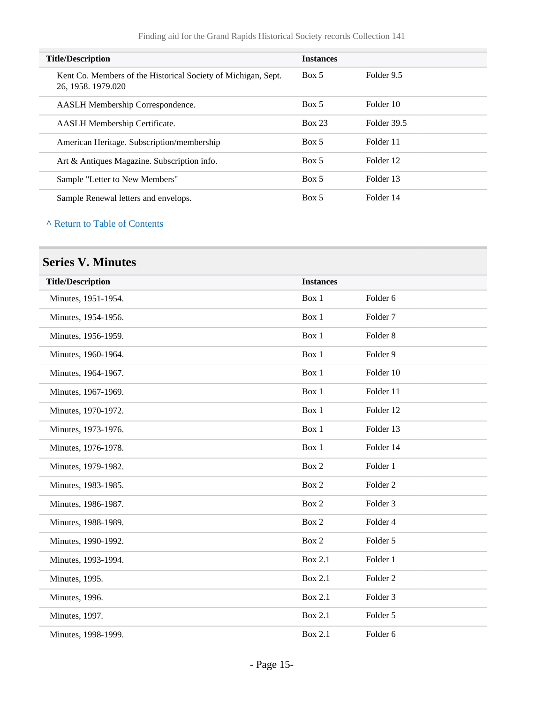| <b>Title/Description</b>                                                             | <b>Instances</b> |             |
|--------------------------------------------------------------------------------------|------------------|-------------|
| Kent Co. Members of the Historical Society of Michigan, Sept.<br>26, 1958, 1979, 020 | Box 5            | Folder 9.5  |
| AASLH Membership Correspondence.                                                     | Box 5            | Folder 10   |
| <b>AASLH</b> Membership Certificate.                                                 | <b>Box 23</b>    | Folder 39.5 |
| American Heritage. Subscription/membership                                           | Box 5            | Folder 11   |
| Art & Antiques Magazine. Subscription info.                                          | Box 5            | Folder 12   |
| Sample "Letter to New Members"                                                       | Box 5            | Folder 13   |
| Sample Renewal letters and envelops.                                                 | Box 5            | Folder 14   |

## <span id="page-14-0"></span>**Series V. Minutes**

| <b>Title/Description</b> | <b>Instances</b> |                     |
|--------------------------|------------------|---------------------|
| Minutes, 1951-1954.      | Box 1            | Folder 6            |
| Minutes, 1954-1956.      | Box 1            | Folder <sub>7</sub> |
| Minutes, 1956-1959.      | Box 1            | Folder <sub>8</sub> |
| Minutes, 1960-1964.      | Box 1            | Folder 9            |
| Minutes, 1964-1967.      | Box 1            | Folder 10           |
| Minutes, 1967-1969.      | Box 1            | Folder 11           |
| Minutes, 1970-1972.      | Box 1            | Folder 12           |
| Minutes, 1973-1976.      | Box 1            | Folder 13           |
| Minutes, 1976-1978.      | Box 1            | Folder 14           |
| Minutes, 1979-1982.      | Box 2            | Folder 1            |
| Minutes, 1983-1985.      | Box 2            | Folder <sub>2</sub> |
| Minutes, 1986-1987.      | Box 2            | Folder 3            |
| Minutes, 1988-1989.      | Box 2            | Folder 4            |
| Minutes, 1990-1992.      | Box 2            | Folder 5            |
| Minutes, 1993-1994.      | <b>Box 2.1</b>   | Folder 1            |
| Minutes, 1995.           | <b>Box 2.1</b>   | Folder <sub>2</sub> |
| Minutes, 1996.           | <b>Box 2.1</b>   | Folder 3            |
| Minutes, 1997.           | <b>Box 2.1</b>   | Folder 5            |
| Minutes, 1998-1999.      | <b>Box 2.1</b>   | Folder 6            |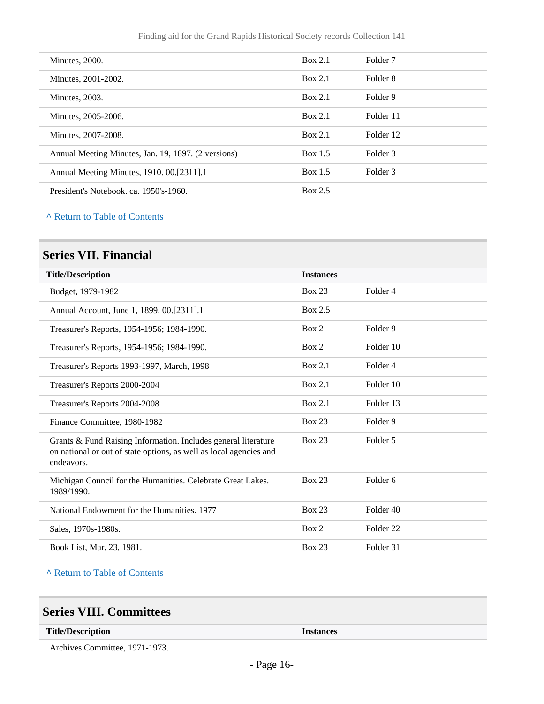| Minutes, 2000.                                      | Box 2.1 | Folder <sub>7</sub> |
|-----------------------------------------------------|---------|---------------------|
| Minutes, 2001-2002.                                 | Box 2.1 | Folder 8            |
| Minutes, 2003.                                      | Box 2.1 | Folder 9            |
| Minutes, 2005-2006.                                 | Box 2.1 | Folder 11           |
| Minutes, 2007-2008.                                 | Box 2.1 | Folder 12           |
| Annual Meeting Minutes, Jan. 19, 1897. (2 versions) | Box 1.5 | Folder 3            |
| Annual Meeting Minutes, 1910. 00.[2311].1           | Box 1.5 | Folder 3            |
| President's Notebook, ca. 1950's-1960.              | Box 2.5 |                     |

### <span id="page-15-0"></span>**Series VII. Financial**

| <b>Title/Description</b>                                                                                                                           | <b>Instances</b> |                      |
|----------------------------------------------------------------------------------------------------------------------------------------------------|------------------|----------------------|
| Budget, 1979-1982                                                                                                                                  | <b>Box 23</b>    | Folder <sub>4</sub>  |
| Annual Account, June 1, 1899. 00.[2311].1                                                                                                          | Box 2.5          |                      |
| Treasurer's Reports, 1954-1956; 1984-1990.                                                                                                         | Box 2            | Folder <sub>9</sub>  |
| Treasurer's Reports, 1954-1956; 1984-1990.                                                                                                         | Box 2            | Folder 10            |
| Treasurer's Reports 1993-1997, March, 1998                                                                                                         | Box 2.1          | Folder 4             |
| Treasurer's Reports 2000-2004                                                                                                                      | Box 2.1          | Folder 10            |
| Treasurer's Reports 2004-2008                                                                                                                      | Box 2.1          | Folder 13            |
| Finance Committee, 1980-1982                                                                                                                       | <b>Box 23</b>    | Folder 9             |
| Grants & Fund Raising Information. Includes general literature<br>on national or out of state options, as well as local agencies and<br>endeavors. | <b>Box 23</b>    | Folder 5             |
| Michigan Council for the Humanities. Celebrate Great Lakes.<br>1989/1990.                                                                          | <b>Box 23</b>    | Folder 6             |
| National Endowment for the Humanities. 1977                                                                                                        | <b>Box 23</b>    | Folder 40            |
| Sales, 1970s-1980s.                                                                                                                                | Box 2            | Folder <sub>22</sub> |
| Book List, Mar. 23, 1981.                                                                                                                          | <b>Box 23</b>    | Folder 31            |

#### **^** [Return to Table of Contents](#page-1-0)

### <span id="page-15-1"></span>**Series VIII. Committees**

| <b>Title/Description</b>       | Instances |
|--------------------------------|-----------|
| Archives Committee, 1971-1973. |           |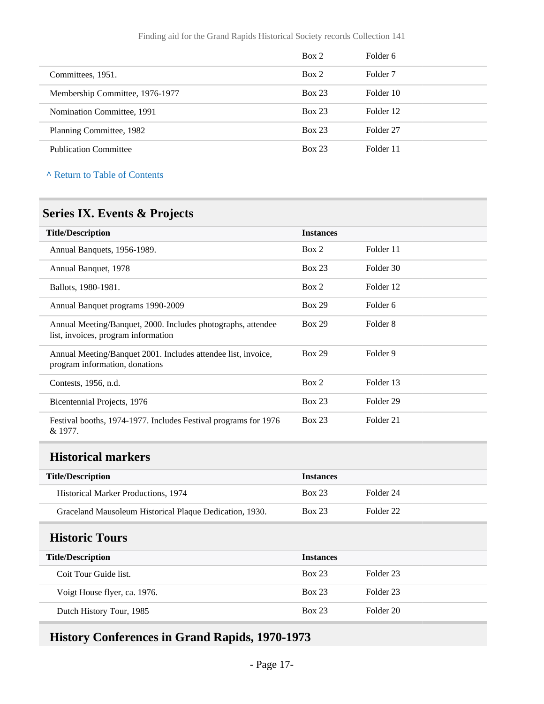|                                 | Box 2         | Folder 6  |
|---------------------------------|---------------|-----------|
| Committees, 1951.               | Box 2         | Folder 7  |
| Membership Committee, 1976-1977 | Box 23        | Folder 10 |
| Nomination Committee, 1991      | <b>Box 23</b> | Folder 12 |
| Planning Committee, 1982        | <b>Box 23</b> | Folder 27 |
| <b>Publication Committee</b>    | <b>Box 23</b> | Folder 11 |

## <span id="page-16-0"></span>**Series IX. Events & Projects**

| <b>Title/Description</b>                                                                            | <b>Instances</b> |                      |
|-----------------------------------------------------------------------------------------------------|------------------|----------------------|
| Annual Banquets, 1956-1989.                                                                         | Box 2            | Folder 11            |
| Annual Banquet, 1978                                                                                | Box 23           | Folder 30            |
| Ballots, 1980-1981.                                                                                 | Box 2            | Folder 12            |
| Annual Banquet programs 1990-2009                                                                   | <b>Box 29</b>    | Folder 6             |
| Annual Meeting/Banquet, 2000. Includes photographs, attendee<br>list, invoices, program information | <b>Box 29</b>    | Folder 8             |
| Annual Meeting/Banquet 2001. Includes attendee list, invoice,<br>program information, donations     | <b>Box 29</b>    | Folder 9             |
| Contests, 1956, n.d.                                                                                | Box 2            | Folder 13            |
| Bicentennial Projects, 1976                                                                         | Box 23           | Folder <sub>29</sub> |
| Festival booths, 1974-1977. Includes Festival programs for 1976<br>& 1977.                          | Box 23           | Folder 21            |

## <span id="page-16-1"></span>**Historical markers**

| <b>Title/Description</b>                                | <i>Instances</i> |           |
|---------------------------------------------------------|------------------|-----------|
| <b>Historical Marker Productions, 1974</b>              | <b>Box 23</b>    | Folder 24 |
| Graceland Mausoleum Historical Plaque Dedication, 1930. | <b>Box 23</b>    | Folder 22 |

## <span id="page-16-2"></span>**Historic Tours**

| <b>Title/Description</b>     | <b>Instances</b> |           |
|------------------------------|------------------|-----------|
| Coit Tour Guide list.        | <b>Box 23</b>    | Folder 23 |
| Voigt House flyer, ca. 1976. | <b>Box 23</b>    | Folder 23 |
| Dutch History Tour, 1985     | <b>Box 23</b>    | Folder 20 |

## <span id="page-16-3"></span>**History Conferences in Grand Rapids, 1970-1973**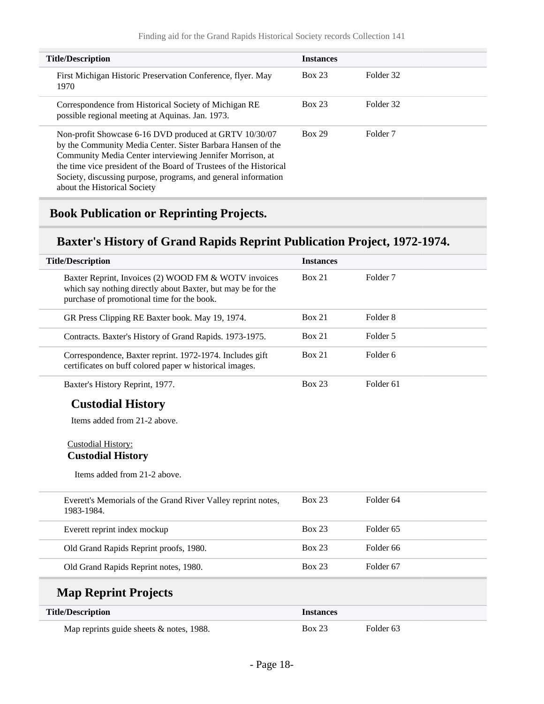| <b>Title/Description</b>                                                                                                                                                                                                                                                                                                                                   | <b>Instances</b> |                     |
|------------------------------------------------------------------------------------------------------------------------------------------------------------------------------------------------------------------------------------------------------------------------------------------------------------------------------------------------------------|------------------|---------------------|
| First Michigan Historic Preservation Conference, flyer. May<br>1970                                                                                                                                                                                                                                                                                        | <b>Box 23</b>    | Folder 32           |
| Correspondence from Historical Society of Michigan RE<br>possible regional meeting at Aquinas. Jan. 1973.                                                                                                                                                                                                                                                  | <b>Box 23</b>    | Folder 32           |
| Non-profit Showcase 6-16 DVD produced at GRTV 10/30/07<br>by the Community Media Center. Sister Barbara Hansen of the<br>Community Media Center interviewing Jennifer Morrison, at<br>the time vice president of the Board of Trustees of the Historical<br>Society, discussing purpose, programs, and general information<br>about the Historical Society | <b>Box 29</b>    | Folder <sub>7</sub> |

## <span id="page-17-0"></span>**Book Publication or Reprinting Projects.**

# **Baxter's History of Grand Rapids Reprint Publication Project, 1972-1974.**

| <b>Title/Description</b>                                                                                                                                          | <b>Instances</b> |                      |  |
|-------------------------------------------------------------------------------------------------------------------------------------------------------------------|------------------|----------------------|--|
| Baxter Reprint, Invoices (2) WOOD FM & WOTV invoices<br>which say nothing directly about Baxter, but may be for the<br>purchase of promotional time for the book. | <b>Box 21</b>    | Folder <sub>7</sub>  |  |
| GR Press Clipping RE Baxter book. May 19, 1974.                                                                                                                   | <b>Box 21</b>    | Folder <sub>8</sub>  |  |
| Contracts. Baxter's History of Grand Rapids. 1973-1975.                                                                                                           | <b>Box 21</b>    | Folder 5             |  |
| Correspondence, Baxter reprint. 1972-1974. Includes gift<br>certificates on buff colored paper w historical images.                                               | <b>Box 21</b>    | Folder <sub>6</sub>  |  |
| Baxter's History Reprint, 1977.                                                                                                                                   | <b>Box 23</b>    | Folder <sub>61</sub> |  |
| <b>Custodial History</b>                                                                                                                                          |                  |                      |  |
| Items added from 21-2 above.                                                                                                                                      |                  |                      |  |
| <b>Custodial History:</b><br><b>Custodial History</b><br>Items added from 21-2 above.                                                                             |                  |                      |  |
|                                                                                                                                                                   |                  |                      |  |
| Everett's Memorials of the Grand River Valley reprint notes,<br>1983-1984.                                                                                        | <b>Box 23</b>    | Folder <sub>64</sub> |  |
| Everett reprint index mockup                                                                                                                                      | <b>Box 23</b>    | Folder <sub>65</sub> |  |
| Old Grand Rapids Reprint proofs, 1980.                                                                                                                            | <b>Box 23</b>    | Folder <sub>66</sub> |  |
| Old Grand Rapids Reprint notes, 1980.                                                                                                                             | <b>Box 23</b>    | Folder <sub>67</sub> |  |
| <b>Map Reprint Projects</b>                                                                                                                                       |                  |                      |  |
| <b>Title/Description</b>                                                                                                                                          | <b>Instances</b> |                      |  |
| Map reprints guide sheets & notes, 1988.                                                                                                                          | <b>Box 23</b>    | Folder <sub>63</sub> |  |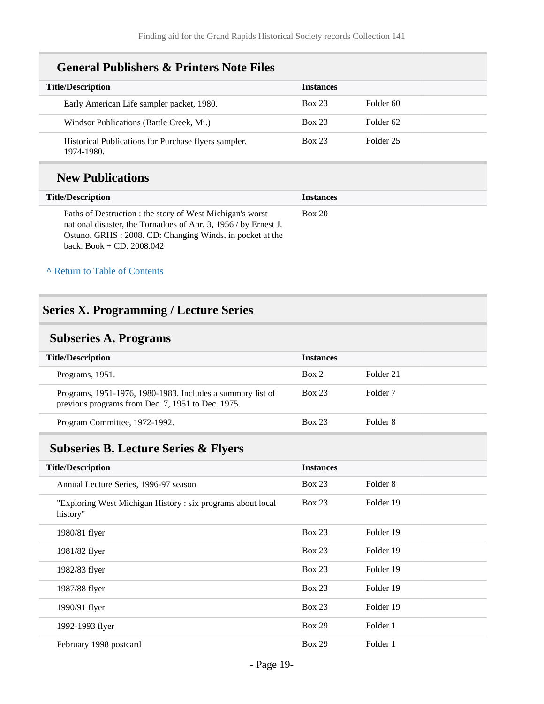## **General Publishers & Printers Note Files**

| <b>Title/Description</b>                                           | <b>Instances</b> |           |
|--------------------------------------------------------------------|------------------|-----------|
| Early American Life sampler packet, 1980.                          | <b>Box 23</b>    | Folder 60 |
| Windsor Publications (Battle Creek, Mi.)                           | <b>Box 23</b>    | Folder 62 |
| Historical Publications for Purchase flyers sampler,<br>1974-1980. | <b>Box 23</b>    | Folder 25 |

## **New Publications**

| <b>Title/Description</b>                                                                                                                                                                                               | <b>Instances</b> |
|------------------------------------------------------------------------------------------------------------------------------------------------------------------------------------------------------------------------|------------------|
| Paths of Destruction: the story of West Michigan's worst<br>national disaster, the Tornadoes of Apr. 3, 1956 / by Ernest J.<br>Ostuno. GRHS: 2008. CD: Changing Winds, in pocket at the<br>back. Book + CD. $2008.042$ | Box 20           |

#### **^** [Return to Table of Contents](#page-1-0)

## <span id="page-18-0"></span>**Series X. Programming / Lecture Series**

## <span id="page-18-1"></span>**Subseries A. Programs**

| <b>Title/Description</b>                                                                                        | <b>Instances</b> |                     |
|-----------------------------------------------------------------------------------------------------------------|------------------|---------------------|
| Programs, 1951.                                                                                                 | Box 2            | Folder 21           |
| Programs, 1951-1976, 1980-1983. Includes a summary list of<br>previous programs from Dec. 7, 1951 to Dec. 1975. | <b>Box 23</b>    | Folder <sub>7</sub> |
| Program Committee, 1972-1992.                                                                                   | <b>Box 23</b>    | Folder 8            |

## <span id="page-18-2"></span>**Subseries B. Lecture Series & Flyers**

| <b>Title/Description</b>                                               | <b>Instances</b> |           |
|------------------------------------------------------------------------|------------------|-----------|
| Annual Lecture Series, 1996-97 season                                  | Box 23           | Folder 8  |
| "Exploring West Michigan History: six programs about local<br>history" | <b>Box 23</b>    | Folder 19 |
| 1980/81 flyer                                                          | <b>Box 23</b>    | Folder 19 |
| 1981/82 flyer                                                          | <b>Box 23</b>    | Folder 19 |
| 1982/83 flyer                                                          | Box 23           | Folder 19 |
| 1987/88 flyer                                                          | Box 23           | Folder 19 |
| 1990/91 flyer                                                          | <b>Box 23</b>    | Folder 19 |
| 1992-1993 flyer                                                        | <b>Box 29</b>    | Folder 1  |
| February 1998 postcard                                                 | <b>Box 29</b>    | Folder 1  |
|                                                                        |                  |           |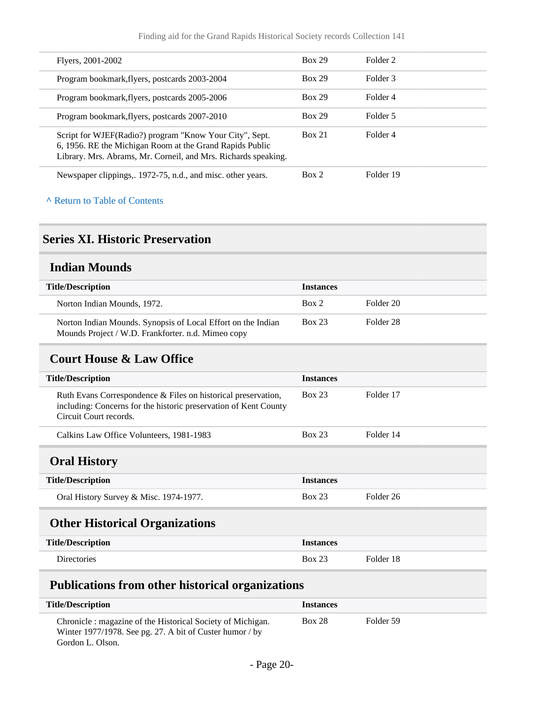| Flyers, 2001-2002                                                                                                                                                                     | <b>Box 29</b> | Folder 2  |
|---------------------------------------------------------------------------------------------------------------------------------------------------------------------------------------|---------------|-----------|
| Program bookmark, flyers, postcards 2003-2004                                                                                                                                         | <b>Box 29</b> | Folder 3  |
| Program bookmark, flyers, postcards 2005-2006                                                                                                                                         | <b>Box 29</b> | Folder 4  |
| Program bookmark, flyers, postcards 2007-2010                                                                                                                                         | <b>Box 29</b> | Folder 5  |
| Script for WJEF(Radio?) program "Know Your City", Sept.<br>6, 1956. RE the Michigan Room at the Grand Rapids Public<br>Library. Mrs. Abrams, Mr. Corneil, and Mrs. Richards speaking. | <b>Box 21</b> | Folder 4  |
| Newspaper clippings, 1972-75, n.d., and misc. other years.                                                                                                                            | Box 2         | Folder 19 |

## <span id="page-19-0"></span>**Series XI. Historic Preservation**

### <span id="page-19-1"></span>**Indian Mounds**

| <b>Title/Description</b>                                                                                           | <b>Instances</b> |           |
|--------------------------------------------------------------------------------------------------------------------|------------------|-----------|
| Norton Indian Mounds, 1972.                                                                                        | Box 2            | Folder 20 |
| Norton Indian Mounds. Synopsis of Local Effort on the Indian<br>Mounds Project / W.D. Frankforter. n.d. Mimeo copy | <b>Box 23</b>    | Folder 28 |

## <span id="page-19-2"></span>**Court House & Law Office**

| <b>Title/Description</b>                                                                                                                                    | <b>Instances</b> |           |
|-------------------------------------------------------------------------------------------------------------------------------------------------------------|------------------|-----------|
| Ruth Evans Correspondence & Files on historical preservation,<br>including: Concerns for the historic preservation of Kent County<br>Circuit Court records. | <b>Box 23</b>    | Folder 17 |
| Calkins Law Office Volunteers, 1981-1983                                                                                                                    | <b>Box 23</b>    | Folder 14 |

## <span id="page-19-3"></span>**Oral History**

| <b>Title/Description</b>               | <b>Instances</b> |           |
|----------------------------------------|------------------|-----------|
| Oral History Survey & Misc. 1974-1977. | Box 23           | Folder 26 |

## <span id="page-19-4"></span>**Other Historical Organizations**

| <b>Title/Description</b> | <b>Instances</b> |           |
|--------------------------|------------------|-----------|
| <b>Directories</b>       | <b>Box 23</b>    | Folder 18 |

## <span id="page-19-5"></span>**Publications from other historical organizations**

| <b>Title/Description</b>                                                                                                                   | <b>Instances</b> |           |
|--------------------------------------------------------------------------------------------------------------------------------------------|------------------|-----------|
| Chronicle: magazine of the Historical Society of Michigan.<br>Winter 1977/1978. See pg. 27. A bit of Custer humor / by<br>Gordon L. Olson. | <b>Box 28</b>    | Folder 59 |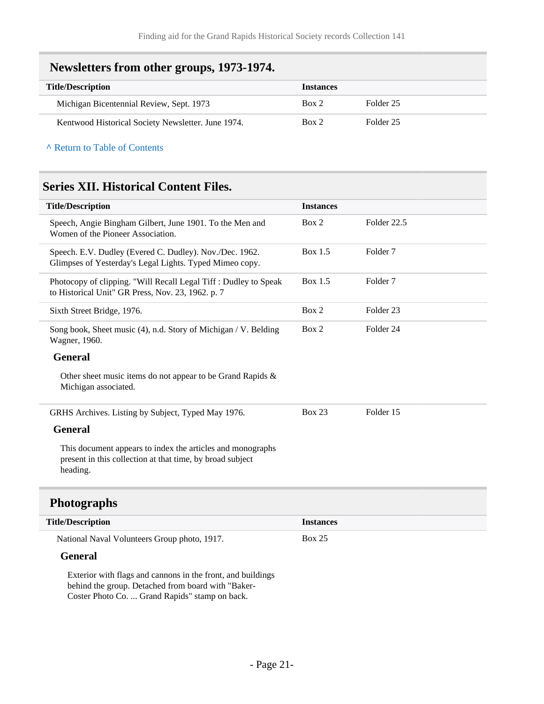# <span id="page-20-0"></span>**Newsletters from other groups, 1973-1974.**

| <b>Title/Description</b>                           | <b>Instances</b> |           |
|----------------------------------------------------|------------------|-----------|
| Michigan Bicentennial Review, Sept. 1973           | Box 2            | Folder 25 |
| Kentwood Historical Society Newsletter. June 1974. | Box 2            | Folder 25 |

#### **^** [Return to Table of Contents](#page-1-0)

### <span id="page-20-1"></span>**Series XII. Historical Content Files.**

| <b>Title/Description</b>                                                                                                            | <b>Instances</b> |                      |
|-------------------------------------------------------------------------------------------------------------------------------------|------------------|----------------------|
| Speech, Angie Bingham Gilbert, June 1901. To the Men and<br>Women of the Pioneer Association.                                       | Box 2            | Folder 22.5          |
| Speech. E.V. Dudley (Evered C. Dudley). Nov./Dec. 1962.<br>Glimpses of Yesterday's Legal Lights. Typed Mimeo copy.                  | Box 1.5          | Folder <sub>7</sub>  |
| Photocopy of clipping. "Will Recall Legal Tiff : Dudley to Speak<br>to Historical Unit" GR Press, Nov. 23, 1962. p. 7               | Box 1.5          | Folder <sub>7</sub>  |
| Sixth Street Bridge, 1976.                                                                                                          | Box 2            | Folder <sub>23</sub> |
| Song book, Sheet music (4), n.d. Story of Michigan / V. Belding<br>Wagner, 1960.                                                    | Box 2            | Folder 24            |
| <b>General</b>                                                                                                                      |                  |                      |
| Other sheet music items do not appear to be Grand Rapids &<br>Michigan associated.                                                  |                  |                      |
| GRHS Archives. Listing by Subject, Typed May 1976.                                                                                  | <b>Box 23</b>    | Folder 15            |
| <b>General</b>                                                                                                                      |                  |                      |
| This document appears to index the articles and monographs<br>present in this collection at that time, by broad subject<br>heading. |                  |                      |
|                                                                                                                                     |                  |                      |

## <span id="page-20-2"></span>**Photographs**

| <b>Title/Description</b>                     | <b>Instances</b> |
|----------------------------------------------|------------------|
| National Naval Volunteers Group photo, 1917. | <b>Box 25</b>    |

#### **General**

Exterior with flags and cannons in the front, and buildings behind the group. Detached from board with "Baker-Coster Photo Co. ... Grand Rapids" stamp on back.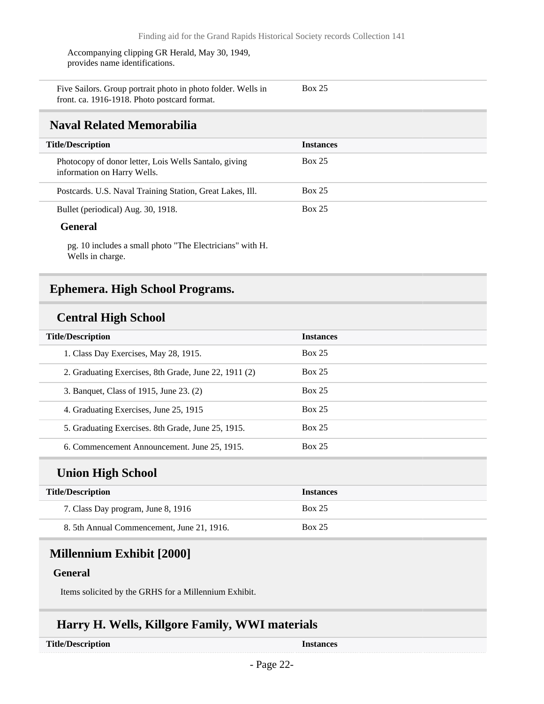Accompanying clipping GR Herald, May 30, 1949, provides name identifications.

| Five Sailors. Group portrait photo in photo folder. Wells in | <b>Box 25</b> |
|--------------------------------------------------------------|---------------|
| front. ca. 1916-1918. Photo postcard format.                 |               |

### <span id="page-21-0"></span>**Naval Related Memorabilia**

| <b>Title/Description</b>                                                             | <b>Instances</b> |
|--------------------------------------------------------------------------------------|------------------|
| Photocopy of donor letter, Lois Wells Santalo, giving<br>information on Harry Wells. | <b>Box 25</b>    |
| Postcards. U.S. Naval Training Station, Great Lakes, Ill.                            | Box 25           |
| Bullet (periodical) Aug. 30, 1918.                                                   | <b>Box 25</b>    |
| General                                                                              |                  |

pg. 10 includes a small photo "The Electricians" with H. Wells in charge.

### <span id="page-21-1"></span>**Ephemera. High School Programs.**

### **Central High School**

| <b>Title/Description</b>                              | <b>Instances</b> |
|-------------------------------------------------------|------------------|
| 1. Class Day Exercises, May 28, 1915.                 | <b>Box 25</b>    |
| 2. Graduating Exercises, 8th Grade, June 22, 1911 (2) | <b>Box 25</b>    |
| 3. Banquet, Class of 1915, June 23. (2)               | <b>Box 25</b>    |
| 4. Graduating Exercises, June 25, 1915                | <b>Box 25</b>    |
| 5. Graduating Exercises. 8th Grade, June 25, 1915.    | <b>Box 25</b>    |
| 6. Commencement Announcement. June 25, 1915.          | <b>Box 25</b>    |

## **Union High School**

| <b>Title/Description</b>                   | <b>Instances</b> |
|--------------------------------------------|------------------|
| 7. Class Day program, June 8, 1916         | <b>Box 25</b>    |
| 8. 5th Annual Commencement, June 21, 1916. | <b>Box 25</b>    |

### <span id="page-21-2"></span>**Millennium Exhibit [2000]**

#### **General**

Items solicited by the GRHS for a Millennium Exhibit.

## **Harry H. Wells, Killgore Family, WWI materials**

|  | <b>Title/Description</b> |
|--|--------------------------|
|--|--------------------------|

**Title/Description Instances**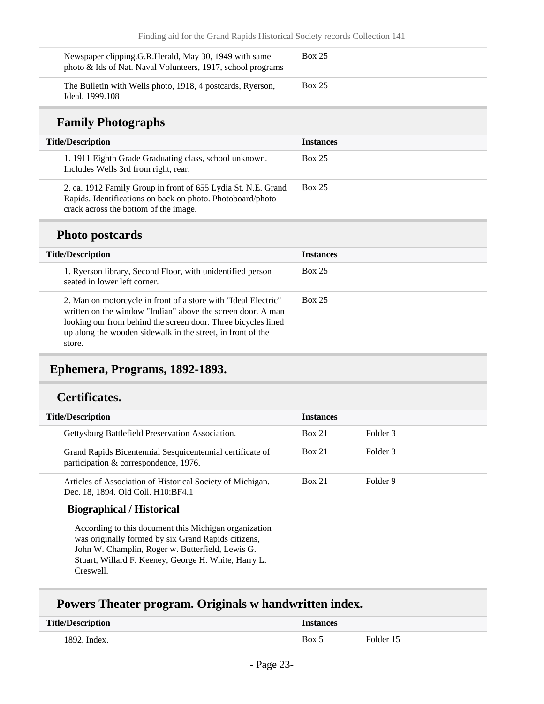| Newspaper clipping.G.R.Herald, May 30, 1949 with same<br>photo & Ids of Nat. Naval Volunteers, 1917, school programs                                                                                                                                                    | <b>Box 25</b>    |
|-------------------------------------------------------------------------------------------------------------------------------------------------------------------------------------------------------------------------------------------------------------------------|------------------|
| The Bulletin with Wells photo, 1918, 4 postcards, Ryerson,<br>Ideal. 1999.108                                                                                                                                                                                           | <b>Box 25</b>    |
| <b>Family Photographs</b>                                                                                                                                                                                                                                               |                  |
| <b>Title/Description</b>                                                                                                                                                                                                                                                | <b>Instances</b> |
| 1. 1911 Eighth Grade Graduating class, school unknown.<br>Includes Wells 3rd from right, rear.                                                                                                                                                                          | <b>Box 25</b>    |
| 2. ca. 1912 Family Group in front of 655 Lydia St. N.E. Grand<br>Rapids. Identifications on back on photo. Photoboard/photo<br>crack across the bottom of the image.                                                                                                    | <b>Box 25</b>    |
| <b>Photo postcards</b>                                                                                                                                                                                                                                                  |                  |
| <b>Title/Description</b>                                                                                                                                                                                                                                                | <b>Instances</b> |
| 1. Ryerson library, Second Floor, with unidentified person<br>seated in lower left corner.                                                                                                                                                                              | <b>Box 25</b>    |
| 2. Man on motorcycle in front of a store with "Ideal Electric"<br>written on the window "Indian" above the screen door. A man<br>looking our from behind the screen door. Three bicycles lined<br>up along the wooden sidewalk in the street, in front of the<br>store. | <b>Box 25</b>    |

## <span id="page-22-0"></span>**Ephemera, Programs, 1892-1893.**

## **Certificates.**

| <b>Title/Description</b> |                                                                                                    | <b>Instances</b> |          |
|--------------------------|----------------------------------------------------------------------------------------------------|------------------|----------|
|                          | Gettysburg Battlefield Preservation Association.                                                   | Box 21           | Folder 3 |
|                          | Grand Rapids Bicentennial Sesquicentennial certificate of<br>participation & correspondence, 1976. | <b>Box 21</b>    | Folder 3 |
|                          | Articles of Association of Historical Society of Michigan.<br>Dec. 18, 1894. Old Coll. H10:BF4.1   | <b>Box 21</b>    | Folder 9 |
|                          | <b>Biographical / Historical</b>                                                                   |                  |          |

According to this document this Michigan organization was originally formed by six Grand Rapids citizens, John W. Champlin, Roger w. Butterfield, Lewis G. Stuart, Willard F. Keeney, George H. White, Harry L. Creswell.

## **Powers Theater program. Originals w handwritten index.**

| <b>Title/Description</b> | tances |           |
|--------------------------|--------|-----------|
| 1892. Index.             | Box    | Folder 15 |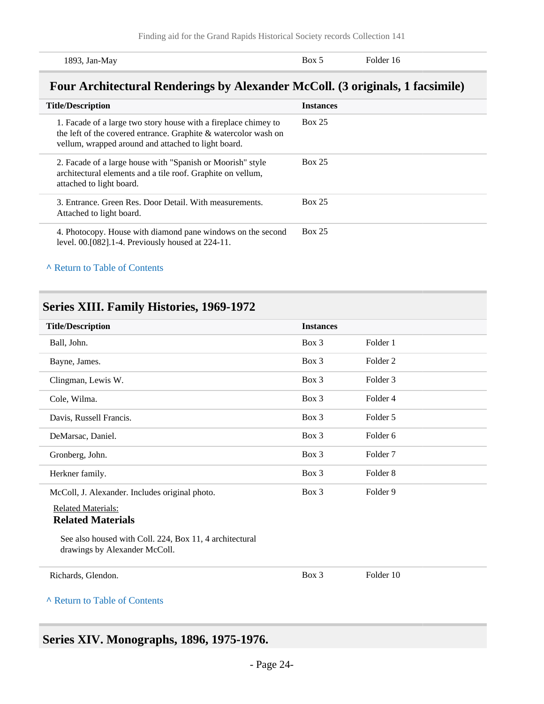| 1893, Jan-May | Box 5 | Folder 16 |  |
|---------------|-------|-----------|--|
|---------------|-------|-----------|--|

## <span id="page-23-0"></span>**Four Architectural Renderings by Alexander McColl. (3 originals, 1 facsimile)**

| <b>Title/Description</b>                                                                                                                                                                  | <b>Instances</b> |
|-------------------------------------------------------------------------------------------------------------------------------------------------------------------------------------------|------------------|
| 1. Facade of a large two story house with a fireplace chimey to<br>the left of the covered entrance. Graphite & watercolor wash on<br>vellum, wrapped around and attached to light board. | <b>Box 25</b>    |
| 2. Facade of a large house with "Spanish or Moorish" style<br>architectural elements and a tile roof. Graphite on vellum,<br>attached to light board.                                     | <b>Box 25</b>    |
| 3. Entrance. Green Res. Door Detail. With measurements.<br>Attached to light board.                                                                                                       | <b>Box 25</b>    |
| 4. Photocopy. House with diamond pane windows on the second<br>level. $00.$ [082].1-4. Previously housed at $224-11$ .                                                                    | <b>Box 25</b>    |

#### **^** [Return to Table of Contents](#page-1-0)

# <span id="page-23-1"></span>**Series XIII. Family Histories, 1969-1972**

| <b>Title/Description</b>                                                                 | <b>Instances</b> |                     |
|------------------------------------------------------------------------------------------|------------------|---------------------|
| Ball, John.                                                                              | Box 3            | Folder 1            |
| Bayne, James.                                                                            | Box 3            | Folder <sub>2</sub> |
| Clingman, Lewis W.                                                                       | Box 3            | Folder 3            |
| Cole, Wilma.                                                                             | Box 3            | Folder 4            |
| Davis, Russell Francis.                                                                  | Box 3            | Folder 5            |
| DeMarsac, Daniel.                                                                        | Box 3            | Folder 6            |
| Gronberg, John.                                                                          | Box 3            | Folder <sub>7</sub> |
| Herkner family.                                                                          | Box 3            | Folder <sub>8</sub> |
| McColl, J. Alexander. Includes original photo.<br><b>Related Materials:</b>              | Box 3            | Folder 9            |
| <b>Related Materials</b>                                                                 |                  |                     |
| See also housed with Coll. 224, Box 11, 4 architectural<br>drawings by Alexander McColl. |                  |                     |

Richards, Glendon. Box 3 Folder 10

#### **^** [Return to Table of Contents](#page-1-0)

## <span id="page-23-2"></span>**Series XIV. Monographs, 1896, 1975-1976.**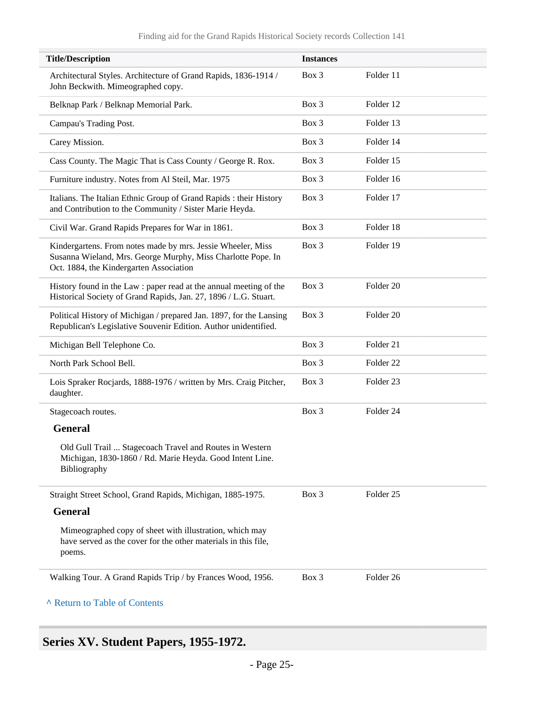| <b>Title/Description</b>                                                                                                                                               | <b>Instances</b> |                      |
|------------------------------------------------------------------------------------------------------------------------------------------------------------------------|------------------|----------------------|
| Architectural Styles. Architecture of Grand Rapids, 1836-1914 /<br>John Beckwith. Mimeographed copy.                                                                   | Box 3            | Folder 11            |
| Belknap Park / Belknap Memorial Park.                                                                                                                                  | Box 3            | Folder 12            |
| Campau's Trading Post.                                                                                                                                                 | Box 3            | Folder 13            |
| Carey Mission.                                                                                                                                                         | Box 3            | Folder 14            |
| Cass County. The Magic That is Cass County / George R. Rox.                                                                                                            | Box 3            | Folder 15            |
| Furniture industry. Notes from Al Steil, Mar. 1975                                                                                                                     | Box 3            | Folder 16            |
| Italians. The Italian Ethnic Group of Grand Rapids : their History<br>and Contribution to the Community / Sister Marie Heyda.                                          | Box 3            | Folder 17            |
| Civil War. Grand Rapids Prepares for War in 1861.                                                                                                                      | Box 3            | Folder 18            |
| Kindergartens. From notes made by mrs. Jessie Wheeler, Miss<br>Susanna Wieland, Mrs. George Murphy, Miss Charlotte Pope. In<br>Oct. 1884, the Kindergarten Association | Box 3            | Folder 19            |
| History found in the Law: paper read at the annual meeting of the<br>Historical Society of Grand Rapids, Jan. 27, 1896 / L.G. Stuart.                                  | Box 3            | Folder <sub>20</sub> |
| Political History of Michigan / prepared Jan. 1897, for the Lansing<br>Republican's Legislative Souvenir Edition. Author unidentified.                                 | Box 3            | Folder 20            |
| Michigan Bell Telephone Co.                                                                                                                                            | Box 3            | Folder 21            |
| North Park School Bell.                                                                                                                                                | Box 3            | Folder <sub>22</sub> |
| Lois Spraker Rocjards, 1888-1976 / written by Mrs. Craig Pitcher,<br>daughter.                                                                                         | Box 3            | Folder <sub>23</sub> |
| Stagecoach routes.                                                                                                                                                     | Box 3            | Folder 24            |
| <b>General</b>                                                                                                                                                         |                  |                      |
| Old Gull Trail  Stagecoach Travel and Routes in Western<br>Michigan, 1830-1860 / Rd. Marie Heyda. Good Intent Line.<br>Bibliography                                    |                  |                      |
| Straight Street School, Grand Rapids, Michigan, 1885-1975.                                                                                                             | Box 3            | Folder <sub>25</sub> |
| <b>General</b>                                                                                                                                                         |                  |                      |
| Mimeographed copy of sheet with illustration, which may<br>have served as the cover for the other materials in this file,<br>poems.                                    |                  |                      |
| Walking Tour. A Grand Rapids Trip / by Frances Wood, 1956.                                                                                                             | Box 3            | Folder 26            |
| A Return to Table of Contents                                                                                                                                          |                  |                      |

## <span id="page-24-0"></span>**Series XV. Student Papers, 1955-1972.**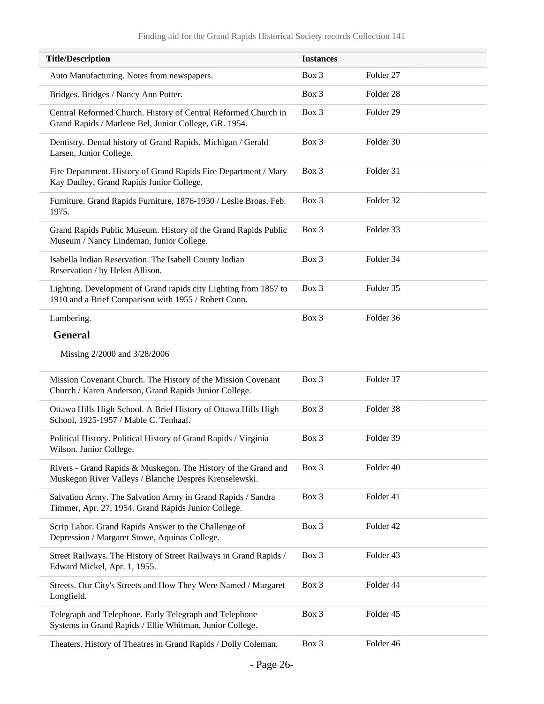| <b>Title/Description</b>                                                                                                 | <b>Instances</b> |                      |
|--------------------------------------------------------------------------------------------------------------------------|------------------|----------------------|
| Auto Manufacturing. Notes from newspapers.                                                                               | Box 3            | Folder 27            |
| Bridges. Bridges / Nancy Ann Potter.                                                                                     | Box 3            | Folder <sub>28</sub> |
| Central Reformed Church. History of Central Reformed Church in<br>Grand Rapids / Marlene Bel, Junior College, GR. 1954.  | Box 3            | Folder 29            |
| Dentistry. Dental history of Grand Rapids, Michigan / Gerald<br>Larsen, Junior College.                                  | Box 3            | Folder 30            |
| Fire Department. History of Grand Rapids Fire Department / Mary<br>Kay Dudley, Grand Rapids Junior College.              | Box 3            | Folder 31            |
| Furniture. Grand Rapids Furniture, 1876-1930 / Leslie Broas, Feb.<br>1975.                                               | Box 3            | Folder 32            |
| Grand Rapids Public Museum. History of the Grand Rapids Public<br>Museum / Nancy Lindeman, Junior College.               | Box 3            | Folder 33            |
| Isabella Indian Reservation. The Isabell County Indian<br>Reservation / by Helen Allison.                                | Box 3            | Folder 34            |
| Lighting. Development of Grand rapids city Lighting from 1857 to<br>1910 and a Brief Comparison with 1955 / Robert Conn. | Box 3            | Folder 35            |
| Lumbering.                                                                                                               | Box 3            | Folder 36            |
| <b>General</b>                                                                                                           |                  |                      |
| Missing 2/2000 and 3/28/2006                                                                                             |                  |                      |
| Mission Covenant Church. The History of the Mission Covenant<br>Church / Karen Anderson, Grand Rapids Junior College.    | Box 3            | Folder 37            |
| Ottawa Hills High School. A Brief History of Ottawa Hills High<br>School, 1925-1957 / Mable C. Tenhaaf.                  | Box 3            | Folder 38            |
| Political History. Political History of Grand Rapids / Virginia<br>Wilson. Junior College.                               | Box 3            | Folder 39            |
| Rivers - Grand Rapids & Muskegon. The History of the Grand and<br>Muskegon River Valleys / Blanche Despres Krenselewski. | Box 3            | Folder 40            |
| Salvation Army. The Salvation Army in Grand Rapids / Sandra<br>Timmer, Apr. 27, 1954. Grand Rapids Junior College.       | Box 3            | Folder 41            |
| Scrip Labor. Grand Rapids Answer to the Challenge of<br>Depression / Margaret Stowe, Aquinas College.                    | Box 3            | Folder 42            |
| Street Railways. The History of Street Railways in Grand Rapids /<br>Edward Mickel, Apr. 1, 1955.                        | Box 3            | Folder 43            |
| Streets. Our City's Streets and How They Were Named / Margaret<br>Longfield.                                             | Box 3            | Folder 44            |
| Telegraph and Telephone. Early Telegraph and Telephone<br>Systems in Grand Rapids / Ellie Whitman, Junior College.       | Box 3            | Folder 45            |
| Theaters. History of Theatres in Grand Rapids / Dolly Coleman.                                                           | Box 3            | Folder 46            |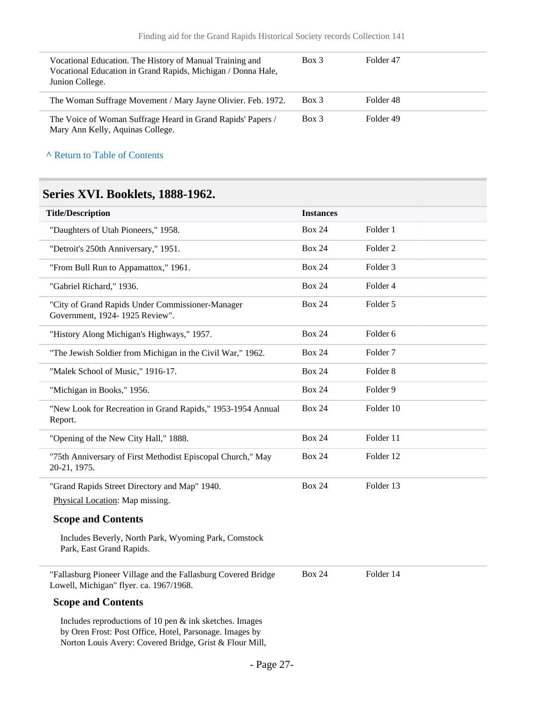| Vocational Education. The History of Manual Training and<br>Vocational Education in Grand Rapids, Michigan / Donna Hale,<br>Junion College. | $Box\ 3$ | Folder 47 |
|---------------------------------------------------------------------------------------------------------------------------------------------|----------|-----------|
| The Woman Suffrage Movement / Mary Jayne Olivier. Feb. 1972.                                                                                | Box 3    | Folder 48 |
| The Voice of Woman Suffrage Heard in Grand Rapids' Papers /<br>Mary Ann Kelly, Aquinas College.                                             | Box 3    | Folder 49 |

### <span id="page-26-0"></span>**Series XVI. Booklets, 1888-1962.**

| <b>Title/Description</b>                                                                                 | <b>Instances</b> |                     |
|----------------------------------------------------------------------------------------------------------|------------------|---------------------|
| "Daughters of Utah Pioneers," 1958.                                                                      | <b>Box 24</b>    | Folder 1            |
| "Detroit's 250th Anniversary," 1951.                                                                     | <b>Box 24</b>    | Folder <sub>2</sub> |
| "From Bull Run to Appamattox," 1961.                                                                     | <b>Box 24</b>    | Folder <sub>3</sub> |
| "Gabriel Richard," 1936.                                                                                 | <b>Box 24</b>    | Folder 4            |
| "City of Grand Rapids Under Commissioner-Manager<br>Government, 1924-1925 Review".                       | <b>Box 24</b>    | Folder 5            |
| "History Along Michigan's Highways," 1957.                                                               | <b>Box 24</b>    | Folder <sub>6</sub> |
| "The Jewish Soldier from Michigan in the Civil War," 1962.                                               | <b>Box 24</b>    | Folder <sub>7</sub> |
| "Malek School of Music," 1916-17.                                                                        | <b>Box 24</b>    | Folder <sub>8</sub> |
| "Michigan in Books," 1956.                                                                               | <b>Box 24</b>    | Folder 9            |
| "New Look for Recreation in Grand Rapids," 1953-1954 Annual<br>Report.                                   | <b>Box 24</b>    | Folder 10           |
| "Opening of the New City Hall," 1888.                                                                    | <b>Box 24</b>    | Folder 11           |
| "75th Anniversary of First Methodist Episcopal Church," May<br>20-21, 1975.                              | <b>Box 24</b>    | Folder 12           |
| "Grand Rapids Street Directory and Map" 1940.                                                            | <b>Box 24</b>    | Folder 13           |
| Physical Location: Map missing.                                                                          |                  |                     |
| <b>Scope and Contents</b>                                                                                |                  |                     |
| Includes Beverly, North Park, Wyoming Park, Comstock<br>Park, East Grand Rapids.                         |                  |                     |
| "Fallasburg Pioneer Village and the Fallasburg Covered Bridge<br>Lowell, Michigan" flyer. ca. 1967/1968. | <b>Box 24</b>    | Folder 14           |
| Scane and Cantents                                                                                       |                  |                     |

**Scope and Contents**

Includes reproductions of 10 pen  $\&$  ink sketches. Images by Oren Frost: Post Office, Hotel, Parsonage. Images by Norton Louis Avery: Covered Bridge, Grist & Flour Mill,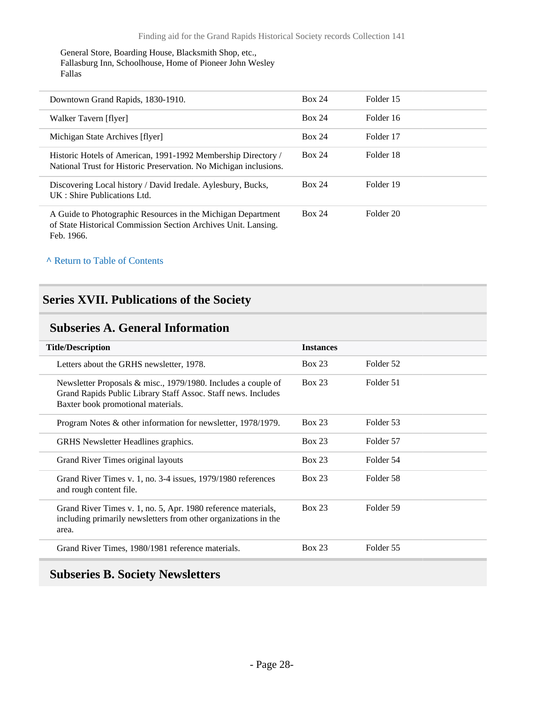General Store, Boarding House, Blacksmith Shop, etc., Fallasburg Inn, Schoolhouse, Home of Pioneer John Wesley Fallas

| Downtown Grand Rapids, 1830-1910.                                                                                                            | Box 24        | Folder 15 |
|----------------------------------------------------------------------------------------------------------------------------------------------|---------------|-----------|
| Walker Tavern [flyer]                                                                                                                        | <b>Box 24</b> | Folder 16 |
| Michigan State Archives [flyer]                                                                                                              | <b>Box 24</b> | Folder 17 |
| Historic Hotels of American, 1991-1992 Membership Directory /<br>National Trust for Historic Preservation. No Michigan inclusions.           | <b>Box 24</b> | Folder 18 |
| Discovering Local history / David Iredale. Aylesbury, Bucks,<br>$IJK:$ Shire Publications Ltd.                                               | <b>Box 24</b> | Folder 19 |
| A Guide to Photographic Resources in the Michigan Department<br>of State Historical Commission Section Archives Unit. Lansing.<br>Feb. 1966. | <b>Box 24</b> | Folder 20 |

#### **^** [Return to Table of Contents](#page-1-0)

## <span id="page-27-0"></span>**Series XVII. Publications of the Society**

### <span id="page-27-1"></span>**Subseries A. General Information**

| <b>Title/Description</b>                                                                                                                                             | <b>Instances</b> |           |
|----------------------------------------------------------------------------------------------------------------------------------------------------------------------|------------------|-----------|
| Letters about the GRHS newsletter, 1978.                                                                                                                             | Box 23           | Folder 52 |
| Newsletter Proposals & misc., 1979/1980. Includes a couple of<br>Grand Rapids Public Library Staff Assoc. Staff news. Includes<br>Baxter book promotional materials. | <b>Box 23</b>    | Folder 51 |
| Program Notes & other information for newsletter, 1978/1979.                                                                                                         | <b>Box 23</b>    | Folder 53 |
| <b>GRHS</b> Newsletter Headlines graphics.                                                                                                                           | <b>Box 23</b>    | Folder 57 |
| Grand River Times original layouts                                                                                                                                   | Box 23           | Folder 54 |
| Grand River Times v. 1, no. 3-4 issues, 1979/1980 references<br>and rough content file.                                                                              | <b>Box 23</b>    | Folder 58 |
| Grand River Times v. 1, no. 5, Apr. 1980 reference materials,<br>including primarily newsletters from other organizations in the<br>area.                            | <b>Box 23</b>    | Folder 59 |
| Grand River Times, 1980/1981 reference materials.                                                                                                                    | <b>Box 23</b>    | Folder 55 |
|                                                                                                                                                                      |                  |           |

## <span id="page-27-2"></span>**Subseries B. Society Newsletters**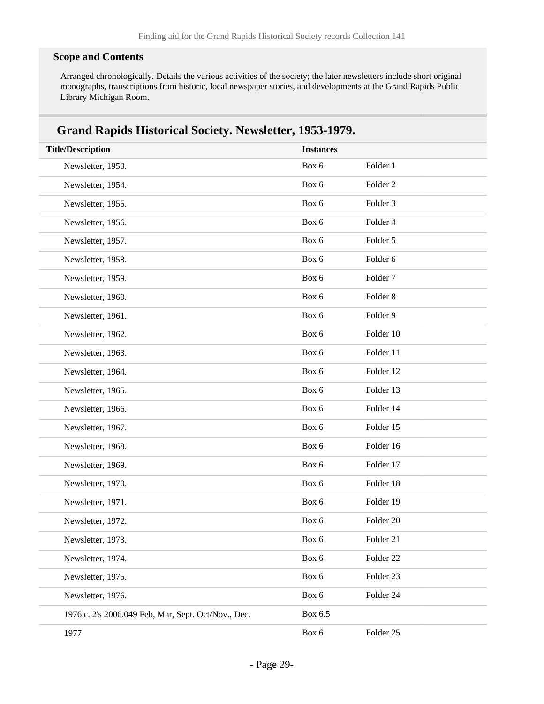### **Scope and Contents**

Arranged chronologically. Details the various activities of the society; the later newsletters include short original monographs, transcriptions from historic, local newspaper stories, and developments at the Grand Rapids Public Library Michigan Room.

## **Grand Rapids Historical Society. Newsletter, 1953-1979.**

| <b>Title/Description</b>                            | <b>Instances</b> |                     |
|-----------------------------------------------------|------------------|---------------------|
|                                                     |                  |                     |
| Newsletter, 1953.                                   | Box 6            | Folder 1            |
| Newsletter, 1954.                                   | Box 6            | Folder <sub>2</sub> |
| Newsletter, 1955.                                   | Box 6            | Folder <sub>3</sub> |
| Newsletter, 1956.                                   | Box 6            | Folder 4            |
| Newsletter, 1957.                                   | Box 6            | Folder 5            |
| Newsletter, 1958.                                   | Box 6            | Folder 6            |
| Newsletter, 1959.                                   | Box 6            | Folder <sub>7</sub> |
| Newsletter, 1960.                                   | Box 6            | Folder 8            |
| Newsletter, 1961.                                   | Box 6            | Folder 9            |
| Newsletter, 1962.                                   | Box 6            | Folder 10           |
| Newsletter, 1963.                                   | Box 6            | Folder 11           |
| Newsletter, 1964.                                   | Box 6            | Folder 12           |
| Newsletter, 1965.                                   | Box 6            | Folder 13           |
| Newsletter, 1966.                                   | Box 6            | Folder 14           |
| Newsletter, 1967.                                   | Box 6            | Folder 15           |
| Newsletter, 1968.                                   | Box 6            | Folder 16           |
| Newsletter, 1969.                                   | Box 6            | Folder 17           |
| Newsletter, 1970.                                   | Box 6            | Folder 18           |
| Newsletter, 1971.                                   | Box 6            | Folder 19           |
| Newsletter, 1972.                                   | Box 6            | Folder 20           |
| Newsletter, 1973.                                   | Box 6            | Folder 21           |
| Newsletter, 1974.                                   | Box 6            | Folder 22           |
| Newsletter, 1975.                                   | Box 6            | Folder 23           |
| Newsletter, 1976.                                   | Box 6            | Folder 24           |
| 1976 c. 2's 2006.049 Feb, Mar, Sept. Oct/Nov., Dec. | Box 6.5          |                     |
| 1977                                                | Box 6            | Folder 25           |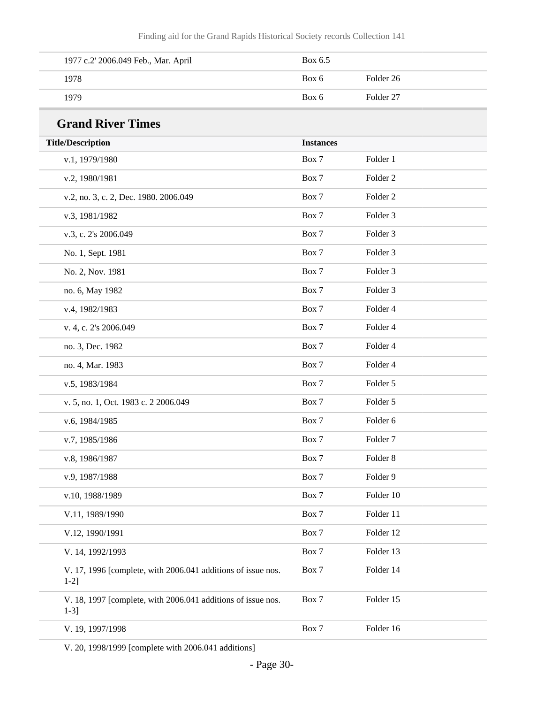| 1977 c.2' 2006.049 Feb., Mar. April                                     | Box 6.5          |                     |
|-------------------------------------------------------------------------|------------------|---------------------|
| 1978                                                                    | Box 6            | Folder 26           |
| 1979                                                                    | Box 6            | Folder 27           |
| <b>Grand River Times</b>                                                |                  |                     |
| <b>Title/Description</b>                                                | <b>Instances</b> |                     |
| v.1, 1979/1980                                                          | Box 7            | Folder 1            |
| v.2, 1980/1981                                                          | Box 7            | Folder <sub>2</sub> |
| v.2, no. 3, c. 2, Dec. 1980. 2006.049                                   | Box 7            | Folder <sub>2</sub> |
| v.3, 1981/1982                                                          | Box 7            | Folder <sub>3</sub> |
| v.3, c. 2's 2006.049                                                    | Box 7            | Folder 3            |
| No. 1, Sept. 1981                                                       | Box 7            | Folder <sub>3</sub> |
| No. 2, Nov. 1981                                                        | Box 7            | Folder <sub>3</sub> |
| no. 6, May 1982                                                         | Box 7            | Folder <sub>3</sub> |
| v.4, 1982/1983                                                          | Box 7            | Folder 4            |
| v. 4, c. 2's 2006.049                                                   | Box 7            | Folder 4            |
| no. 3, Dec. 1982                                                        | Box 7            | Folder 4            |
| no. 4, Mar. 1983                                                        | Box 7            | Folder 4            |
| v.5, 1983/1984                                                          | Box 7            | Folder 5            |
| v. 5, no. 1, Oct. 1983 c. 2 2006.049                                    | Box 7            | Folder 5            |
| v.6, 1984/1985                                                          | Box 7            | Folder 6            |
| v.7, 1985/1986                                                          | Box 7            | Folder <sub>7</sub> |
| v.8, 1986/1987                                                          | Box 7            | Folder 8            |
| v.9, 1987/1988                                                          | Box 7            | Folder 9            |
| v.10, 1988/1989                                                         | Box 7            | Folder 10           |
| V.11, 1989/1990                                                         | Box 7            | Folder 11           |
| V.12, 1990/1991                                                         | Box 7            | Folder 12           |
| V. 14, 1992/1993                                                        | Box 7            | Folder 13           |
| V. 17, 1996 [complete, with 2006.041 additions of issue nos.<br>$1-2]$  | Box 7            | Folder 14           |
| V. 18, 1997 [complete, with 2006.041 additions of issue nos.<br>$1-3$ ] | Box 7            | Folder 15           |
| V. 19, 1997/1998                                                        | Box 7            | Folder 16           |

V. 20, 1998/1999 [complete with 2006.041 additions]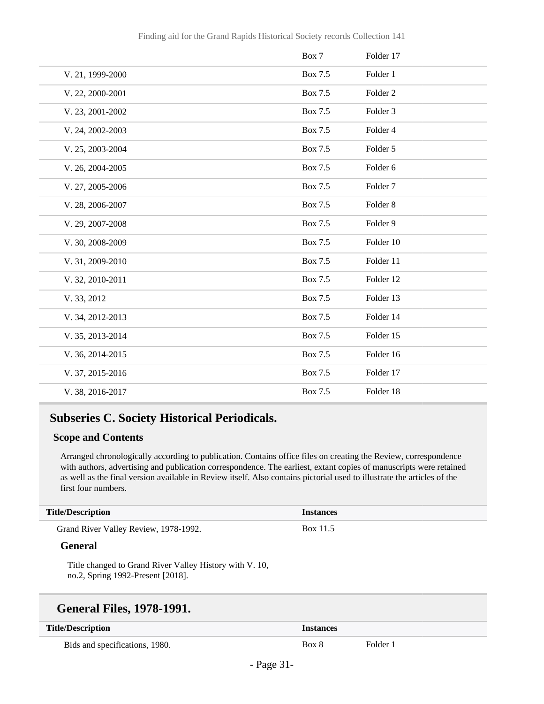|                  | Box 7          | Folder 17           |
|------------------|----------------|---------------------|
| V. 21, 1999-2000 | Box 7.5        | Folder 1            |
| V. 22, 2000-2001 | Box 7.5        | Folder <sub>2</sub> |
| V. 23, 2001-2002 | Box 7.5        | Folder <sub>3</sub> |
| V. 24, 2002-2003 | Box 7.5        | Folder 4            |
| V. 25, 2003-2004 | Box 7.5        | Folder 5            |
| V. 26, 2004-2005 | Box 7.5        | Folder 6            |
| V. 27, 2005-2006 | Box 7.5        | Folder <sub>7</sub> |
| V. 28, 2006-2007 | Box 7.5        | Folder <sub>8</sub> |
| V. 29, 2007-2008 | Box 7.5        | Folder 9            |
| V. 30, 2008-2009 | Box 7.5        | Folder 10           |
| V. 31, 2009-2010 | Box 7.5        | Folder 11           |
| V. 32, 2010-2011 | Box 7.5        | Folder 12           |
| V. 33, 2012      | Box 7.5        | Folder 13           |
| V. 34, 2012-2013 | Box 7.5        | Folder 14           |
| V. 35, 2013-2014 | Box 7.5        | Folder 15           |
| V. 36, 2014-2015 | Box 7.5        | Folder 16           |
| V. 37, 2015-2016 | Box 7.5        | Folder 17           |
| V. 38, 2016-2017 | <b>Box 7.5</b> | Folder 18           |

## <span id="page-30-0"></span>**Subseries C. Society Historical Periodicals.**

#### **Scope and Contents**

Arranged chronologically according to publication. Contains office files on creating the Review, correspondence with authors, advertising and publication correspondence. The earliest, extant copies of manuscripts were retained as well as the final version available in Review itself. Also contains pictorial used to illustrate the articles of the first four numbers.

Box 11.5

#### **Title/Description Instances**

Grand River Valley Review, 1978-1992.

#### **General**

Title changed to Grand River Valley History with V. 10, no.2, Spring 1992-Present [2018].

### **General Files, 1978-1991.**

| <b>Title/Description</b>       | <i><u><b>Instances</b></u></i> |          |
|--------------------------------|--------------------------------|----------|
| Bids and specifications, 1980. | Box 8                          | Folder 1 |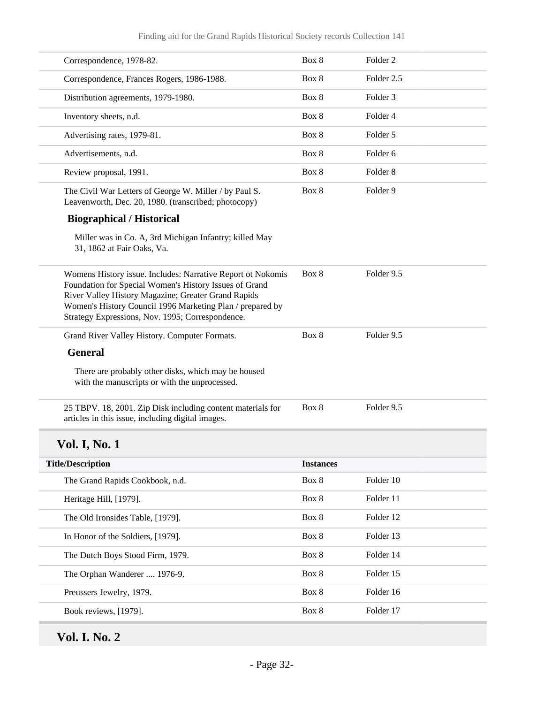| Correspondence, 1978-82.                                                                                                                                                                                                                                                                      | Box 8            | Folder <sub>2</sub> |
|-----------------------------------------------------------------------------------------------------------------------------------------------------------------------------------------------------------------------------------------------------------------------------------------------|------------------|---------------------|
| Correspondence, Frances Rogers, 1986-1988.                                                                                                                                                                                                                                                    | Box 8            | Folder 2.5          |
| Distribution agreements, 1979-1980.                                                                                                                                                                                                                                                           | Box 8            | Folder <sub>3</sub> |
| Inventory sheets, n.d.                                                                                                                                                                                                                                                                        | Box 8            | Folder 4            |
| Advertising rates, 1979-81.                                                                                                                                                                                                                                                                   | Box 8            | Folder 5            |
| Advertisements, n.d.                                                                                                                                                                                                                                                                          | Box 8            | Folder <sub>6</sub> |
| Review proposal, 1991.                                                                                                                                                                                                                                                                        | Box 8            | Folder <sub>8</sub> |
| The Civil War Letters of George W. Miller / by Paul S.<br>Leavenworth, Dec. 20, 1980. (transcribed; photocopy)                                                                                                                                                                                | Box 8            | Folder 9            |
| <b>Biographical / Historical</b>                                                                                                                                                                                                                                                              |                  |                     |
| Miller was in Co. A, 3rd Michigan Infantry; killed May<br>31, 1862 at Fair Oaks, Va.                                                                                                                                                                                                          |                  |                     |
| Womens History issue. Includes: Narrative Report ot Nokomis<br>Foundation for Special Women's History Issues of Grand<br>River Valley History Magazine; Greater Grand Rapids<br>Women's History Council 1996 Marketing Plan / prepared by<br>Strategy Expressions, Nov. 1995; Correspondence. | Box 8            | Folder 9.5          |
| Grand River Valley History. Computer Formats.                                                                                                                                                                                                                                                 | Box 8            | Folder 9.5          |
| <b>General</b>                                                                                                                                                                                                                                                                                |                  |                     |
| There are probably other disks, which may be housed<br>with the manuscripts or with the unprocessed.                                                                                                                                                                                          |                  |                     |
| 25 TBPV. 18, 2001. Zip Disk including content materials for<br>articles in this issue, including digital images.                                                                                                                                                                              | Box 8            | Folder 9.5          |
| <b>Vol. I, No. 1</b>                                                                                                                                                                                                                                                                          |                  |                     |
| <b>Title/Description</b>                                                                                                                                                                                                                                                                      | <b>Instances</b> |                     |
| The Grand Rapids Cookbook, n.d.                                                                                                                                                                                                                                                               | Box 8            | Folder 10           |
| Heritage Hill, [1979].                                                                                                                                                                                                                                                                        | Box 8            | Folder 11           |
| The Old Ironsides Table, [1979].                                                                                                                                                                                                                                                              | Box 8            | Folder 12           |
| In Honor of the Soldiers, [1979].                                                                                                                                                                                                                                                             | Box 8            | Folder 13           |
| The Dutch Boys Stood Firm, 1979.                                                                                                                                                                                                                                                              | Box 8            | Folder 14           |
| The Orphan Wanderer  1976-9.                                                                                                                                                                                                                                                                  | Box 8            | Folder 15           |
| Preussers Jewelry, 1979.                                                                                                                                                                                                                                                                      | Box 8            | Folder 16           |
| Book reviews, [1979].                                                                                                                                                                                                                                                                         | Box 8            | Folder 17           |
|                                                                                                                                                                                                                                                                                               |                  |                     |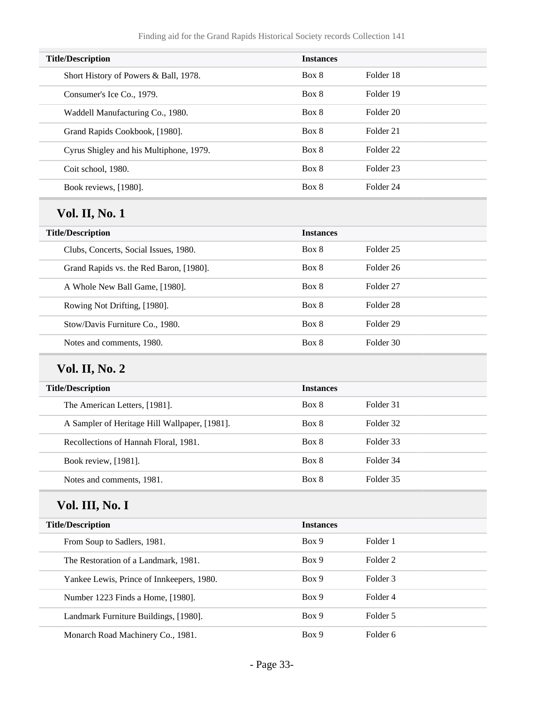| <b>Title/Description</b>                | <b>Instances</b> |                      |
|-----------------------------------------|------------------|----------------------|
| Short History of Powers & Ball, 1978.   | Box 8            | Folder 18            |
| Consumer's Ice Co., 1979.               | Box 8            | Folder 19            |
| Waddell Manufacturing Co., 1980.        | Box 8            | Folder 20            |
| Grand Rapids Cookbook, [1980].          | Box 8            | Folder 21            |
| Cyrus Shigley and his Multiphone, 1979. | Box 8            | Folder <sub>22</sub> |
| Coit school, 1980.                      | Box 8            | Folder 23            |
| Book reviews, [1980].                   | Box 8            | Folder <sub>24</sub> |
|                                         |                  |                      |

# **Vol. II, No. 1**

| <b>Title/Description</b>                | <b>Instances</b> |           |
|-----------------------------------------|------------------|-----------|
| Clubs, Concerts, Social Issues, 1980.   | Box 8            | Folder 25 |
| Grand Rapids vs. the Red Baron, [1980]. | Box 8            | Folder 26 |
| A Whole New Ball Game, [1980].          | Box 8            | Folder 27 |
| Rowing Not Drifting, [1980].            | Box 8            | Folder 28 |
| Stow/Davis Furniture Co., 1980.         | Box 8            | Folder 29 |
| Notes and comments, 1980.               | Box 8            | Folder 30 |

# **Vol. II, No. 2**

| <b>Title/Description</b>                      | <b>Instances</b> |           |
|-----------------------------------------------|------------------|-----------|
| The American Letters, [1981].                 | Box 8            | Folder 31 |
| A Sampler of Heritage Hill Wallpaper, [1981]. | Box 8            | Folder 32 |
| Recollections of Hannah Floral, 1981.         | Box 8            | Folder 33 |
| Book review, $[1981]$ .                       | Box 8            | Folder 34 |
| Notes and comments, 1981.                     | Box 8            | Folder 35 |

## **Vol. III, No. I**

| <b>Title/Description</b>                  | <b>Instances</b> |                     |  |
|-------------------------------------------|------------------|---------------------|--|
| From Soup to Sadlers, 1981.               | Box 9            | Folder 1            |  |
| The Restoration of a Landmark, 1981.      | Box 9            | Folder <sub>2</sub> |  |
| Yankee Lewis, Prince of Innkeepers, 1980. | Box 9            | Folder 3            |  |
| Number 1223 Finds a Home, [1980].         | Box 9            | Folder 4            |  |
| Landmark Furniture Buildings, [1980].     | Box 9            | Folder 5            |  |
| Monarch Road Machinery Co., 1981.         | Box 9            | Folder 6            |  |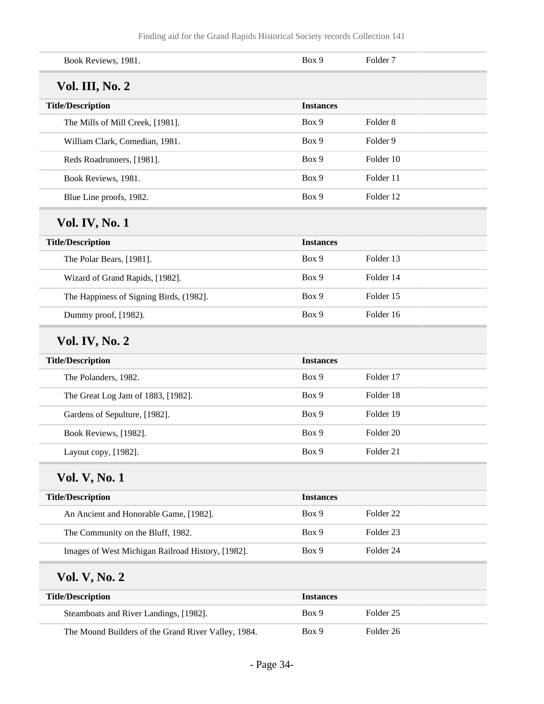| Book Reviews, 1981.                                 | Box 9            | Folder <sub>7</sub>  |
|-----------------------------------------------------|------------------|----------------------|
| <b>Vol. III, No. 2</b>                              |                  |                      |
| <b>Title/Description</b>                            | <b>Instances</b> |                      |
| The Mills of Mill Creek, [1981].                    | Box 9            | Folder <sub>8</sub>  |
| William Clark, Comedian, 1981.                      | Box 9            | Folder 9             |
| Reds Roadrunners, [1981].                           | Box 9            | Folder 10            |
| Book Reviews, 1981.                                 | Box 9            | Folder 11            |
| Blue Line proofs, 1982.                             | Box 9            | Folder 12            |
| <b>Vol. IV, No. 1</b>                               |                  |                      |
| <b>Title/Description</b>                            | <b>Instances</b> |                      |
| The Polar Bears, [1981].                            | Box 9            | Folder 13            |
| Wizard of Grand Rapids, [1982].                     | Box 9            | Folder 14            |
| The Happiness of Signing Birds, (1982].             | Box 9            | Folder 15            |
| Dummy proof, [1982).                                | Box 9            | Folder 16            |
| <b>Vol. IV, No. 2</b>                               |                  |                      |
| <b>Title/Description</b>                            | <b>Instances</b> |                      |
| The Polanders, 1982.                                | Box 9            | Folder 17            |
| The Great Log Jam of 1883, [1982].                  | Box 9            | Folder 18            |
| Gardens of Sepulture, [1982].                       | Box 9            | Folder 19            |
| Book Reviews, [1982].                               | Box 9            | Folder <sub>20</sub> |
| Layout copy, [1982].                                | Box 9            | Folder 21            |
| <b>Vol. V, No. 1</b>                                |                  |                      |
| <b>Title/Description</b>                            | <b>Instances</b> |                      |
| An Ancient and Honorable Game, [1982].              | Box 9            | Folder 22            |
| The Community on the Bluff, 1982.                   | Box 9            | Folder 23            |
| Images of West Michigan Railroad History, [1982].   | Box 9            | Folder 24            |
| <b>Vol. V, No. 2</b>                                |                  |                      |
| <b>Title/Description</b>                            | <b>Instances</b> |                      |
| Steamboats and River Landings, [1982].              | Box 9            | Folder 25            |
| The Mound Builders of the Grand River Valley, 1984. | Box 9            | Folder 26            |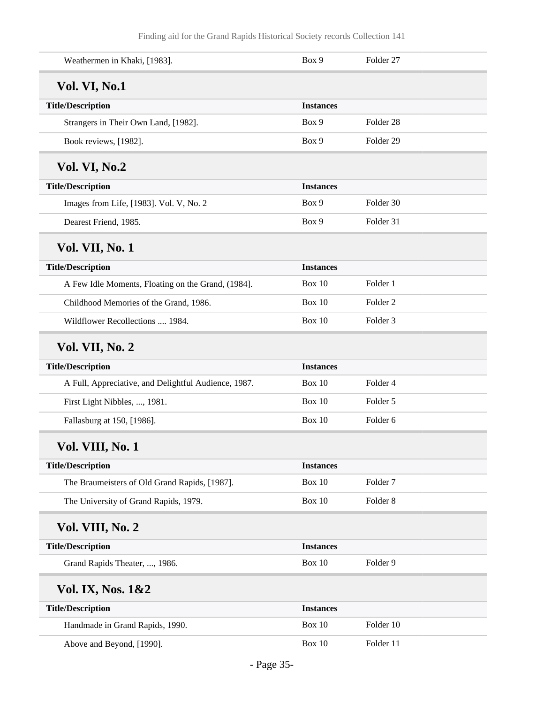| Weathermen in Khaki, [1983].                         | Box 9            | Folder <sub>27</sub> |
|------------------------------------------------------|------------------|----------------------|
| <b>Vol. VI, No.1</b>                                 |                  |                      |
| <b>Title/Description</b>                             | <b>Instances</b> |                      |
| Strangers in Their Own Land, [1982].                 | Box 9            | Folder 28            |
| Book reviews, [1982].                                | Box 9            | Folder 29            |
| <b>Vol. VI, No.2</b>                                 |                  |                      |
| <b>Title/Description</b>                             | <b>Instances</b> |                      |
| Images from Life, [1983]. Vol. V, No. 2              | Box 9            | Folder 30            |
| Dearest Friend, 1985.                                | Box 9            | Folder 31            |
| <b>Vol. VII, No. 1</b>                               |                  |                      |
| <b>Title/Description</b>                             | <b>Instances</b> |                      |
| A Few Idle Moments, Floating on the Grand, (1984].   | Box 10           | Folder 1             |
| Childhood Memories of the Grand, 1986.               | <b>Box 10</b>    | Folder <sub>2</sub>  |
| Wildflower Recollections  1984.                      | <b>Box 10</b>    | Folder <sub>3</sub>  |
| <b>Vol. VII, No. 2</b>                               |                  |                      |
| <b>Title/Description</b>                             | <b>Instances</b> |                      |
| A Full, Appreciative, and Delightful Audience, 1987. | Box 10           | Folder 4             |
| First Light Nibbles, , 1981.                         | Box 10           | Folder 5             |
| Fallasburg at 150, [1986].                           | Box 10           | Folder 6             |
| Vol. VIII, No. 1                                     |                  |                      |
| <b>Title/Description</b>                             | <b>Instances</b> |                      |
| The Braumeisters of Old Grand Rapids, [1987].        | <b>Box 10</b>    | Folder <sub>7</sub>  |
| The University of Grand Rapids, 1979.                | <b>Box 10</b>    | Folder 8             |
| Vol. VIII, No. 2                                     |                  |                      |
| <b>Title/Description</b>                             | <b>Instances</b> |                      |
| Grand Rapids Theater, , 1986.                        | Box 10           | Folder 9             |
| <b>Vol. IX, Nos. 1&amp;2</b>                         |                  |                      |
| <b>Title/Description</b>                             | <b>Instances</b> |                      |
| Handmade in Grand Rapids, 1990.                      | Box 10           | Folder 10            |
| Above and Beyond, [1990].                            | <b>Box 10</b>    | Folder 11            |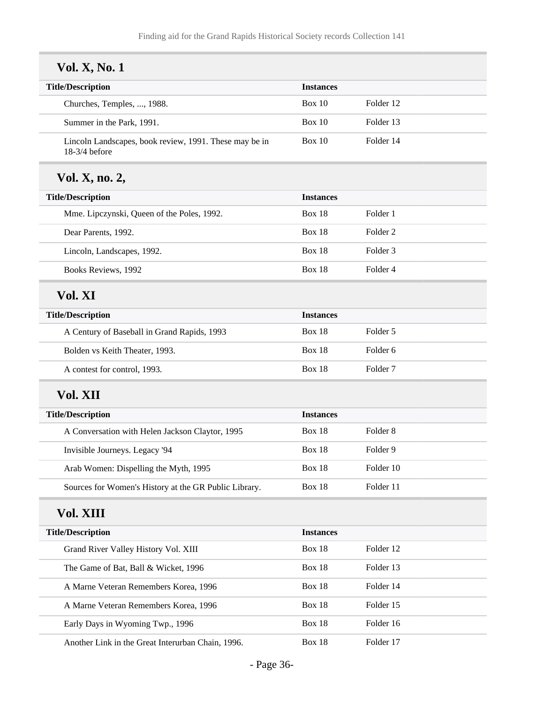| <b>Title/Description</b>                                                | <b>Instances</b> |                     |
|-------------------------------------------------------------------------|------------------|---------------------|
| Churches, Temples, , 1988.                                              | Box $10$         | Folder 12           |
| Summer in the Park, 1991.                                               | Box 10           | Folder 13           |
| Lincoln Landscapes, book review, 1991. These may be in<br>18-3/4 before | Box 10           | Folder 14           |
| Vol. X, no. 2,                                                          |                  |                     |
| <b>Title/Description</b>                                                | <b>Instances</b> |                     |
| Mme. Lipczynski, Queen of the Poles, 1992.                              | Box 18           | Folder 1            |
| Dear Parents, 1992.                                                     | <b>Box 18</b>    | Folder <sub>2</sub> |
| Lincoln, Landscapes, 1992.                                              | Box 18           | Folder <sub>3</sub> |
| Books Reviews, 1992                                                     | <b>Box 18</b>    | Folder 4            |
| Vol. XI                                                                 |                  |                     |
| <b>Title/Description</b>                                                | <b>Instances</b> |                     |
| A Century of Baseball in Grand Rapids, 1993                             | Box 18           | Folder 5            |
| Bolden vs Keith Theater, 1993.                                          | Box 18           | Folder <sub>6</sub> |
| A contest for control, 1993.                                            | Box 18           | Folder <sub>7</sub> |
| Vol. XII                                                                |                  |                     |
| <b>Title/Description</b>                                                | <b>Instances</b> |                     |
| A Conversation with Helen Jackson Claytor, 1995                         | <b>Box 18</b>    | Folder <sub>8</sub> |
| Invisible Journeys. Legacy '94                                          | Box 18           | Folder 9            |
| Arab Women: Dispelling the Myth, 1995                                   | Box 18           | Folder 10           |
| Sources for Women's History at the GR Public Library.                   | Box 18           | Folder 11           |
| Vol. XIII                                                               |                  |                     |
| <b>Title/Description</b>                                                | <b>Instances</b> |                     |
| Grand River Valley History Vol. XIII                                    | Box 18           | Folder 12           |
| The Game of Bat, Ball & Wicket, 1996                                    | <b>Box 18</b>    | Folder 13           |
| A Marne Veteran Remembers Korea, 1996                                   | Box 18           | Folder 14           |
| A Marne Veteran Remembers Korea, 1996                                   | Box 18           | Folder 15           |
| Early Days in Wyoming Twp., 1996                                        | Box 18           | Folder 16           |
| Another Link in the Great Interurban Chain, 1996.                       | Box 18           | Folder 17           |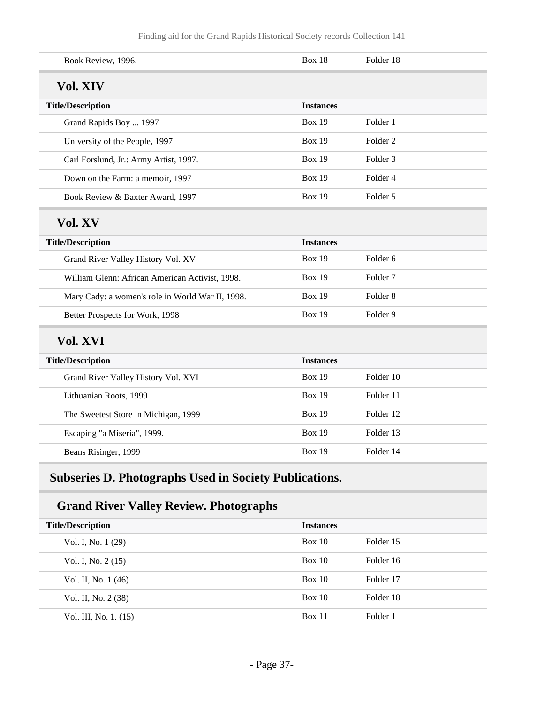| Book Review, 1996.                               | <b>Box 18</b>    | Folder 18           |  |
|--------------------------------------------------|------------------|---------------------|--|
| Vol. XIV                                         |                  |                     |  |
| <b>Title/Description</b>                         | <b>Instances</b> |                     |  |
| Grand Rapids Boy  1997                           | <b>Box 19</b>    | Folder 1            |  |
| University of the People, 1997                   | <b>Box 19</b>    | Folder <sub>2</sub> |  |
| Carl Forslund, Jr.: Army Artist, 1997.           | <b>Box 19</b>    | Folder <sub>3</sub> |  |
| Down on the Farm: a memoir, 1997                 | <b>Box 19</b>    | Folder 4            |  |
| Book Review & Baxter Award, 1997                 | <b>Box 19</b>    | Folder 5            |  |
| Vol. XV                                          |                  |                     |  |
| <b>Title/Description</b>                         | <b>Instances</b> |                     |  |
| Grand River Valley History Vol. XV               | <b>Box 19</b>    | Folder 6            |  |
| William Glenn: African American Activist, 1998.  | <b>Box 19</b>    | Folder <sub>7</sub> |  |
| Mary Cady: a women's role in World War II, 1998. | <b>Box 19</b>    | Folder <sub>8</sub> |  |
| Better Prospects for Work, 1998                  | <b>Box 19</b>    | Folder 9            |  |
| Vol. XVI                                         |                  |                     |  |
| <b>Title/Description</b>                         | <b>Instances</b> |                     |  |
| Grand River Valley History Vol. XVI              | <b>Box 19</b>    | Folder 10           |  |
| Lithuanian Roots, 1999                           | <b>Box 19</b>    | Folder 11           |  |
| The Sweetest Store in Michigan, 1999             | <b>Box 19</b>    | Folder 12           |  |
| Escaping "a Miseria", 1999.                      | <b>Box 19</b>    | Folder 13           |  |
| Beans Risinger, 1999                             | <b>Box 19</b>    | Folder 14           |  |

## <span id="page-36-0"></span>**Subseries D. Photographs Used in Society Publications.**

## **Grand River Valley Review. Photographs**

| <b>Title/Description</b> | <b>Instances</b> |           |
|--------------------------|------------------|-----------|
| Vol. I, No. 1 (29)       | Box 10           | Folder 15 |
| Vol. I, No. $2(15)$      | Box 10           | Folder 16 |
| Vol. II, No. 1 (46)      | Box 10           | Folder 17 |
| Vol. II, No. 2 (38)      | Box 10           | Folder 18 |
| Vol. III, No. 1. (15)    | Box 11           | Folder 1  |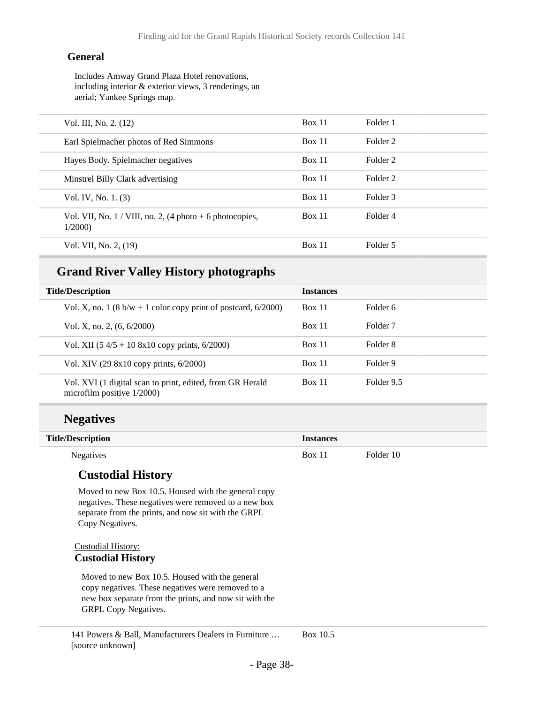#### **General**

Includes Amway Grand Plaza Hotel renovations, including interior & exterior views, 3 renderings, an aerial; Yankee Springs map.

| Vol. III, No. 2. (12)                                              | Box 11<br>Folder 1                   |
|--------------------------------------------------------------------|--------------------------------------|
| Earl Spielmacher photos of Red Simmons                             | Box 11<br>Folder 2                   |
| Hayes Body. Spielmacher negatives                                  | Box 11<br>Folder 2                   |
| Minstrel Billy Clark advertising                                   | Folder 2<br>Box 11                   |
| Vol. IV, No. $1. (3)$                                              | Folder <sub>3</sub><br><b>Box 11</b> |
| Vol. VII, No. 1 / VIII, no. 2, (4 photo + 6 photocopies,<br>1/2000 | Box 11<br>Folder 4                   |
| Vol. VII, No. 2, (19)                                              | Box 11<br>Folder 5                   |

### **Grand River Valley History photographs**

| <b>Title/Description</b>                                                                   | <b>Instances</b> |            |
|--------------------------------------------------------------------------------------------|------------------|------------|
| Vol. X, no. $1(8 \text{ b/w} + 1 \text{ color copy print of postcard}, 6/2000)$            | <b>Box 11</b>    | Folder 6   |
| Vol. X, no. 2, $(6, 6/2000)$                                                               | Box 11           | Folder 7   |
| Vol. XII $(5\ 4/5 + 10\ 8x10$ copy prints, 6/2000)                                         | Box 11           | Folder 8   |
| Vol. XIV $(29 8x10$ copy prints, $6/2000$ )                                                | Box 11           | Folder 9   |
| Vol. XVI (1 digital scan to print, edited, from GR Herald<br>microfilm positive $1/2000$ ) | Box 11           | Folder 9.5 |

## **Negatives**

| <b>Title/Description</b> | <b>Instances</b> |           |
|--------------------------|------------------|-----------|
| <b>Negatives</b>         | Box 11           | Folder 10 |

### **Custodial History**

Moved to new Box 10.5. Housed with the general copy negatives. These negatives were removed to a new box separate from the prints, and now sit with the GRPL Copy Negatives.

#### Custodial History: **Custodial History**

Moved to new Box 10.5. Housed with the general copy negatives. These negatives were removed to a new box separate from the prints, and now sit with the GRPL Copy Negatives.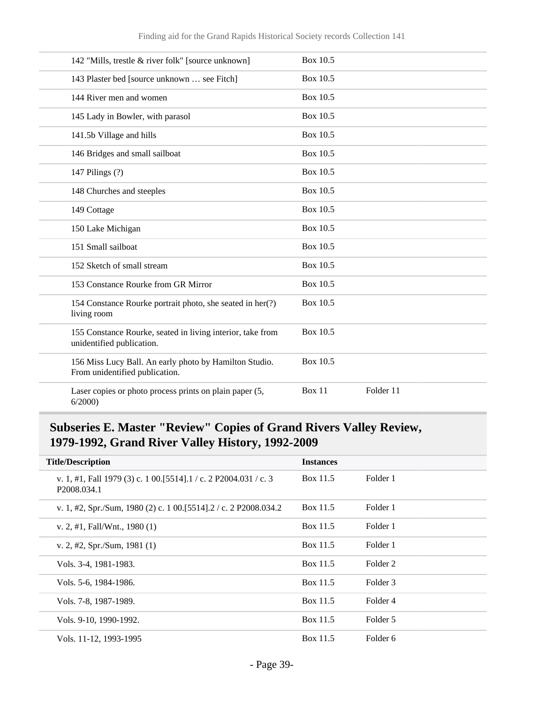| 142 "Mills, trestle & river folk" [source unknown]                                       | Box 10.5 |           |
|------------------------------------------------------------------------------------------|----------|-----------|
| 143 Plaster bed [source unknown  see Fitch]                                              | Box 10.5 |           |
| 144 River men and women                                                                  | Box 10.5 |           |
| 145 Lady in Bowler, with parasol                                                         | Box 10.5 |           |
| 141.5b Village and hills                                                                 | Box 10.5 |           |
| 146 Bridges and small sailboat                                                           | Box 10.5 |           |
| 147 Pilings (?)                                                                          | Box 10.5 |           |
| 148 Churches and steeples                                                                | Box 10.5 |           |
| 149 Cottage                                                                              | Box 10.5 |           |
| 150 Lake Michigan                                                                        | Box 10.5 |           |
| 151 Small sailboat                                                                       | Box 10.5 |           |
| 152 Sketch of small stream                                                               | Box 10.5 |           |
| 153 Constance Rourke from GR Mirror                                                      | Box 10.5 |           |
| 154 Constance Rourke portrait photo, she seated in her(?)<br>living room                 | Box 10.5 |           |
| 155 Constance Rourke, seated in living interior, take from<br>unidentified publication.  | Box 10.5 |           |
| 156 Miss Lucy Ball. An early photo by Hamilton Studio.<br>From unidentified publication. | Box 10.5 |           |
| Laser copies or photo process prints on plain paper (5,<br>6/2000                        | Box 11   | Folder 11 |

## <span id="page-38-0"></span>**Subseries E. Master "Review" Copies of Grand Rivers Valley Review, 1979-1992, Grand River Valley History, 1992-2009**

| <b>Title/Description</b>                                                                                           | <b>Instances</b> |          |
|--------------------------------------------------------------------------------------------------------------------|------------------|----------|
| v. 1, #1, Fall 1979 (3) c. 1 00. [5514] $\cdot$ l $\cdot$ ( $\cdot$ 2 P2004. 031 / c. 3<br>P <sub>2008.034.1</sub> | Box 11.5         | Folder 1 |
| v. 1, #2, Spr./Sum, 1980 (2) c. 1 00. [5514]. $2 / c$ . 2 P2008.034. 2                                             | Box 11.5         | Folder 1 |
| v. 2, #1, Fall/Wnt., 1980 $(1)$                                                                                    | Box 11.5         | Folder 1 |
| v. 2, #2, Spr./Sum, 1981 $(1)$                                                                                     | Box 11.5         | Folder 1 |
| Vols. 3-4, 1981-1983.                                                                                              | Box 11.5         | Folder 2 |
| Vols. 5-6, 1984-1986.                                                                                              | Box 11.5         | Folder 3 |
| Vols. 7-8, 1987-1989.                                                                                              | Box 11.5         | Folder 4 |
| Vols. 9-10, 1990-1992.                                                                                             | Box 11.5         | Folder 5 |
| Vols. 11-12, 1993-1995                                                                                             | Box 11.5         | Folder 6 |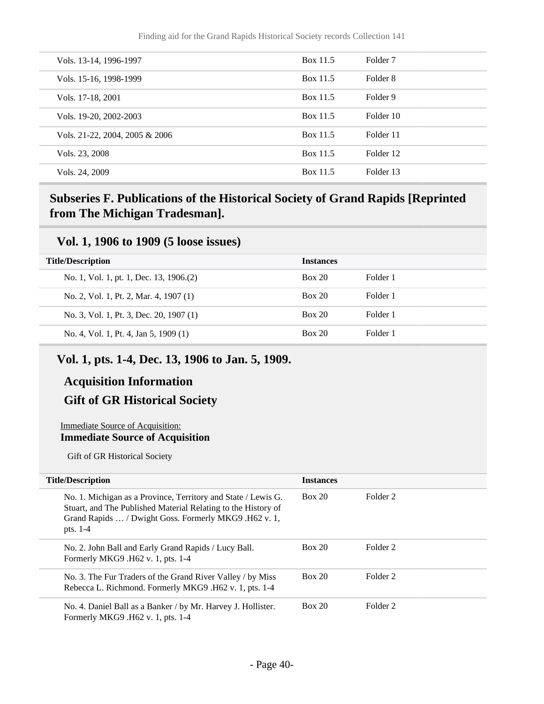| Vols. 13-14, 1996-1997         | Box 11.5 | Folder <sub>7</sub> |
|--------------------------------|----------|---------------------|
| Vols. 15-16, 1998-1999         | Box 11.5 | Folder 8            |
| Vols. 17-18, 2001              | Box 11.5 | Folder 9            |
| Vols. 19-20, 2002-2003         | Box 11.5 | Folder 10           |
| Vols. 21-22, 2004, 2005 & 2006 | Box 11.5 | Folder 11           |
| Vols. 23, 2008                 | Box 11.5 | Folder 12           |
| Vols. 24, 2009                 | Box 11.5 | Folder 13           |

## <span id="page-39-0"></span>**Subseries F. Publications of the Historical Society of Grand Rapids [Reprinted from The Michigan Tradesman].**

### **Vol. 1, 1906 to 1909 (5 loose issues)**

| <b>Title/Description</b>                | <b>Instances</b> |          |
|-----------------------------------------|------------------|----------|
| No. 1, Vol. 1, pt. 1, Dec. 13, 1906.(2) | Box 20           | Folder 1 |
| No. 2, Vol. 1, Pt. 2, Mar. 4, 1907 (1)  | <b>Box 20</b>    | Folder 1 |
| No. 3, Vol. 1, Pt. 3, Dec. 20, 1907 (1) | Box 20           | Folder 1 |
| No. 4, Vol. 1, Pt. 4, Jan 5, 1909 (1)   | <b>Box 20</b>    | Folder 1 |

### **Vol. 1, pts. 1-4, Dec. 13, 1906 to Jan. 5, 1909.**

## **Acquisition Information Gift of GR Historical Society**

#### Immediate Source of Acquisition: **Immediate Source of Acquisition**

Gift of GR Historical Society

| <b>Title/Description</b>                                                                                                                                                                              | <b>Instances</b> |          |
|-------------------------------------------------------------------------------------------------------------------------------------------------------------------------------------------------------|------------------|----------|
| No. 1. Michigan as a Province, Territory and State / Lewis G.<br>Stuart, and The Published Material Relating to the History of<br>Grand Rapids  / Dwight Goss. Formerly MKG9 .H62 v. 1,<br>pts. $1-4$ | Box 20           | Folder 2 |
| No. 2. John Ball and Early Grand Rapids / Lucy Ball.<br>Formerly MKG9 .H62 v. 1, pts. 1-4                                                                                                             | Box 20           | Folder 2 |
| No. 3. The Fur Traders of the Grand River Valley / by Miss<br>Rebecca L. Richmond. Formerly MKG9 .H62 v. 1, pts. 1-4                                                                                  | Box 20           | Folder 2 |
| No. 4. Daniel Ball as a Banker / by Mr. Harvey J. Hollister.<br>Formerly MKG9 .H62 v. 1, pts. 1-4                                                                                                     | Box 20           | Folder 2 |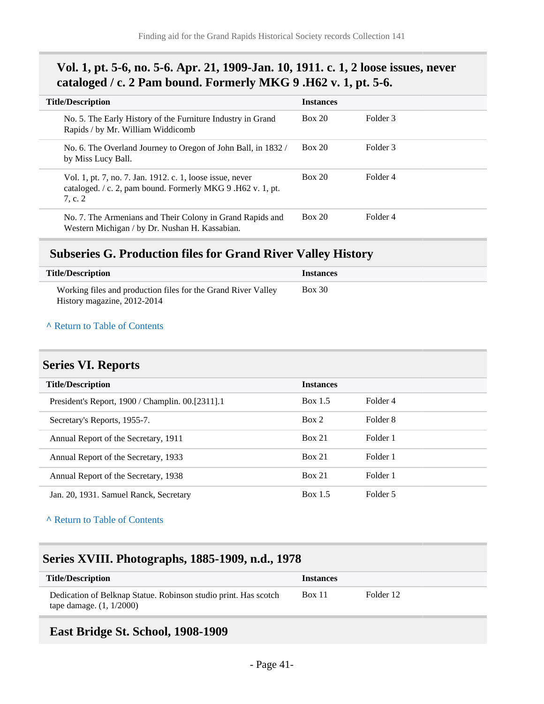## **Vol. 1, pt. 5-6, no. 5-6. Apr. 21, 1909-Jan. 10, 1911. c. 1, 2 loose issues, never cataloged / c. 2 Pam bound. Formerly MKG 9 .H62 v. 1, pt. 5-6.**

| <b>Title/Description</b>                                                                                                            | <b>Instances</b> |          |
|-------------------------------------------------------------------------------------------------------------------------------------|------------------|----------|
| No. 5. The Early History of the Furniture Industry in Grand<br>Rapids / by Mr. William Widdicomb                                    | Box 20           | Folder 3 |
| No. 6. The Overland Journey to Oregon of John Ball, in 1832 /<br>by Miss Lucy Ball.                                                 | Box 20           | Folder 3 |
| Vol. 1, pt. 7, no. 7. Jan. 1912. c. 1, loose issue, never<br>cataloged. / c. 2, pam bound. Formerly MKG 9 .H62 v. 1, pt.<br>7, c. 2 | Box 20           | Folder 4 |
| No. 7. The Armenians and Their Colony in Grand Rapids and<br>Western Michigan / by Dr. Nushan H. Kassabian.                         | Box 20           | Folder 4 |

### <span id="page-40-0"></span>**Subseries G. Production files for Grand River Valley History**

| <b>Title/Description</b>                                      | <i>Instances</i> |
|---------------------------------------------------------------|------------------|
| Working files and production files for the Grand River Valley | $Box\ 30$        |
| History magazine, 2012-2014                                   |                  |

#### **^** [Return to Table of Contents](#page-1-0)

### <span id="page-40-1"></span>**Series VI. Reports**

| <b>Title/Description</b>                         | <b>Instances</b> |          |
|--------------------------------------------------|------------------|----------|
| President's Report, 1900 / Champlin. 00.[2311].1 | Box 1.5          | Folder 4 |
| Secretary's Reports, 1955-7.                     | Box 2            | Folder 8 |
| Annual Report of the Secretary, 1911             | <b>Box 21</b>    | Folder 1 |
| Annual Report of the Secretary, 1933             | <b>Box 21</b>    | Folder 1 |
| Annual Report of the Secretary, 1938             | <b>Box 21</b>    | Folder 1 |
| Jan. 20, 1931. Samuel Ranck, Secretary           | Box 1.5          | Folder 5 |

#### **^** [Return to Table of Contents](#page-1-0)

### <span id="page-40-2"></span>**Series XVIII. Photographs, 1885-1909, n.d., 1978**

| Title/Description                                                                             | <i>Instances</i> |           |
|-----------------------------------------------------------------------------------------------|------------------|-----------|
| Dedication of Belknap Statue. Robinson studio print. Has scotch<br>tape damage. $(1, 1/2000)$ | <b>Box 11</b>    | Folder 12 |

### <span id="page-40-3"></span>**East Bridge St. School, 1908-1909**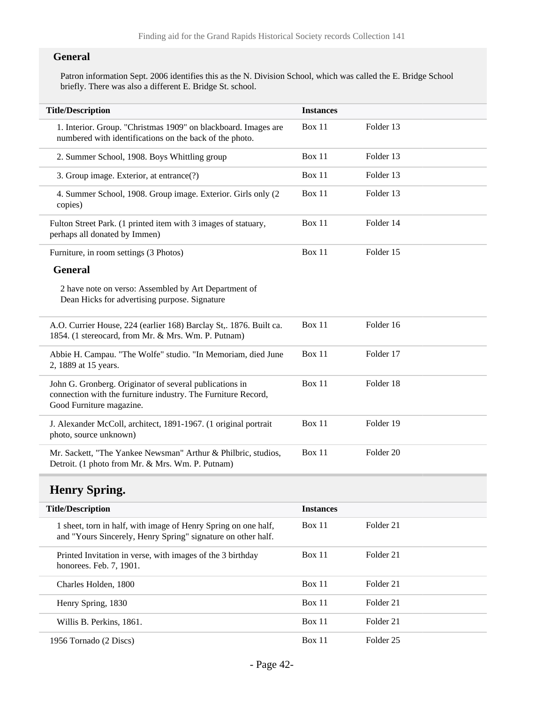### **General**

Patron information Sept. 2006 identifies this as the N. Division School, which was called the E. Bridge School briefly. There was also a different E. Bridge St. school.

| <b>Title/Description</b>                                                                                                                             | <b>Instances</b> |           |
|------------------------------------------------------------------------------------------------------------------------------------------------------|------------------|-----------|
| 1. Interior. Group. "Christmas 1909" on blackboard. Images are<br>numbered with identifications on the back of the photo.                            | Box 11           | Folder 13 |
| 2. Summer School, 1908. Boys Whittling group                                                                                                         | Box 11           | Folder 13 |
| 3. Group image. Exterior, at entrance(?)                                                                                                             | Box 11           | Folder 13 |
| 4. Summer School, 1908. Group image. Exterior. Girls only (2)<br>copies)                                                                             | Box 11           | Folder 13 |
| Fulton Street Park. (1 printed item with 3 images of statuary,<br>perhaps all donated by Immen)                                                      | Box 11           | Folder 14 |
| Furniture, in room settings (3 Photos)                                                                                                               | Box 11           | Folder 15 |
| <b>General</b>                                                                                                                                       |                  |           |
| 2 have note on verso: Assembled by Art Department of<br>Dean Hicks for advertising purpose. Signature                                                |                  |           |
| A.O. Currier House, 224 (earlier 168) Barclay St,. 1876. Built ca.<br>1854. (1 stereocard, from Mr. & Mrs. Wm. P. Putnam)                            | Box 11           | Folder 16 |
| Abbie H. Campau. "The Wolfe" studio. "In Memoriam, died June<br>2, 1889 at 15 years.                                                                 | Box 11           | Folder 17 |
| John G. Gronberg. Originator of several publications in<br>connection with the furniture industry. The Furniture Record,<br>Good Furniture magazine. | Box 11           | Folder 18 |
| J. Alexander McColl, architect, 1891-1967. (1 original portrait<br>photo, source unknown)                                                            | Box 11           | Folder 19 |
| Mr. Sackett, "The Yankee Newsman" Arthur & Philbric, studios,<br>Detroit. (1 photo from Mr. & Mrs. Wm. P. Putnam)                                    | Box 11           | Folder 20 |

## <span id="page-41-0"></span>**Henry Spring.**

| <b>Title/Description</b>                                                                                                       | <b>Instances</b> |           |
|--------------------------------------------------------------------------------------------------------------------------------|------------------|-----------|
| 1 sheet, torn in half, with image of Henry Spring on one half,<br>and "Yours Sincerely, Henry Spring" signature on other half. | <b>Box 11</b>    | Folder 21 |
| Printed Invitation in verse, with images of the 3 birthday<br>honorees. Feb. 7, 1901.                                          | <b>Box 11</b>    | Folder 21 |
| Charles Holden, 1800                                                                                                           | Box 11           | Folder 21 |
| Henry Spring, 1830                                                                                                             | <b>Box 11</b>    | Folder 21 |
| Willis B. Perkins, 1861.                                                                                                       | <b>Box 11</b>    | Folder 21 |
| 1956 Tornado (2 Discs)                                                                                                         | <b>Box 11</b>    | Folder 25 |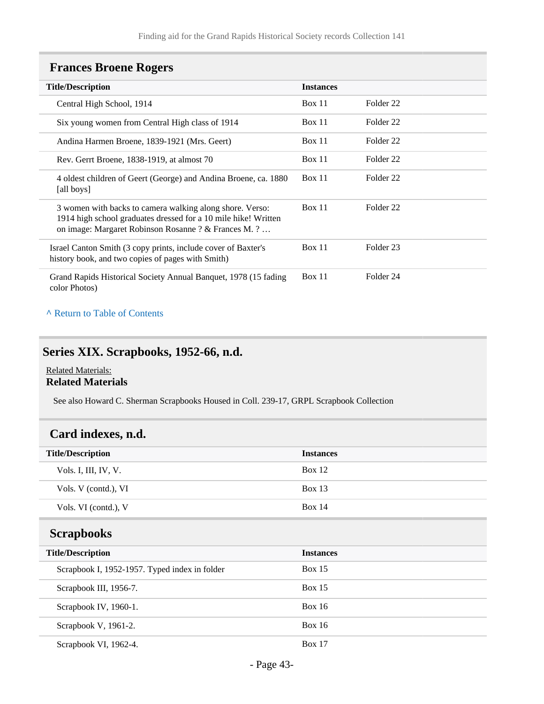## <span id="page-42-0"></span>**Frances Broene Rogers**

| <b>Title/Description</b>                                                                                                                                                           | <b>Instances</b> |                      |
|------------------------------------------------------------------------------------------------------------------------------------------------------------------------------------|------------------|----------------------|
| Central High School, 1914                                                                                                                                                          | Box 11           | Folder <sub>22</sub> |
| Six young women from Central High class of 1914                                                                                                                                    | Box 11           | Folder <sub>22</sub> |
| Andina Harmen Broene, 1839-1921 (Mrs. Geert)                                                                                                                                       | Box 11           | Folder <sub>22</sub> |
| Rev. Gerrt Broene, 1838-1919, at almost 70                                                                                                                                         | Box 11           | Folder <sub>22</sub> |
| 4 oldest children of Geert (George) and Andina Broene, ca. 1880<br>[all boys]                                                                                                      | Box 11           | Folder <sub>22</sub> |
| 3 women with backs to camera walking along shore. Verso:<br>1914 high school graduates dressed for a 10 mile hike! Written<br>on image: Margaret Robinson Rosanne ? & Frances M. ? | Box 11           | Folder <sub>22</sub> |
| Israel Canton Smith (3 copy prints, include cover of Baxter's<br>history book, and two copies of pages with Smith)                                                                 | Box 11           | Folder 23            |
| Grand Rapids Historical Society Annual Banquet, 1978 (15 fading<br>color Photos)                                                                                                   | Box 11           | Folder 24            |

#### **^** [Return to Table of Contents](#page-1-0)

### <span id="page-42-1"></span>**Series XIX. Scrapbooks, 1952-66, n.d.**

#### Related Materials: **Related Materials**

See also Howard C. Sherman Scrapbooks Housed in Coll. 239-17, GRPL Scrapbook Collection

### <span id="page-42-2"></span>**Card indexes, n.d.**

| <b>Title/Description</b> | <b>Instances</b> |
|--------------------------|------------------|
| Vols. I, III, IV, V.     | Box 12           |
| Vols. V (contd.), VI     | <b>Box 13</b>    |
| Vols. VI (contd.), V     | Box 14           |

## <span id="page-42-3"></span>**Scrapbooks**

| <b>Title/Description</b>                      | <b>Instances</b> |
|-----------------------------------------------|------------------|
| Scrapbook I, 1952-1957. Typed index in folder | <b>Box 15</b>    |
| Scrapbook III, 1956-7.                        | <b>Box 15</b>    |
| Scrapbook IV, 1960-1.                         | <b>Box 16</b>    |
| Scrapbook V, $1961-2$ .                       | <b>Box 16</b>    |
| Scrapbook VI, 1962-4.                         | <b>Box 17</b>    |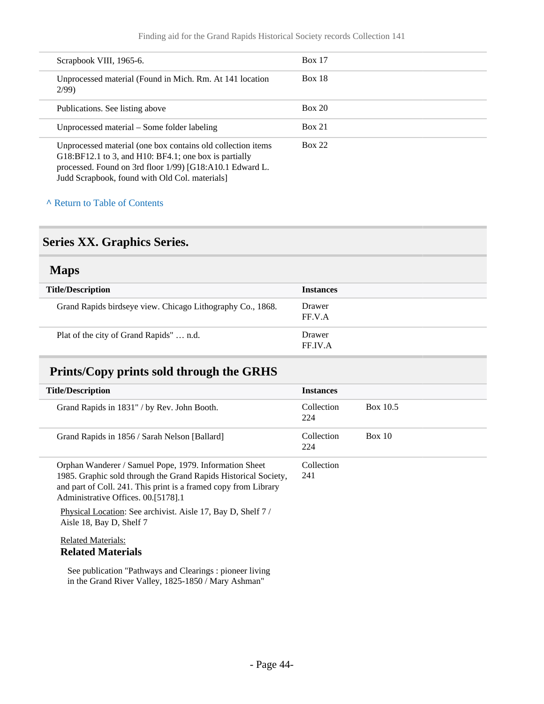| Scrapbook VIII, 1965-6.                                                                                                                                                           | <b>Box 17</b> |
|-----------------------------------------------------------------------------------------------------------------------------------------------------------------------------------|---------------|
| Unprocessed material (Found in Mich. Rm. At 141 location<br>2/99                                                                                                                  | <b>Box 18</b> |
| Publications. See listing above                                                                                                                                                   | <b>Box 20</b> |
| Unprocessed material – Some folder labeling                                                                                                                                       | Box 21        |
| Unprocessed material (one box contains old collection items)<br>G18:BF12.1 to 3, and H10: BF4.1; one box is partially<br>processed. Found on 3rd floor 1/99) [G18:A10.1 Edward L. | <b>Box 22</b> |

Judd Scrapbook, found with Old Col. materials]

#### **^** [Return to Table of Contents](#page-1-0)

## <span id="page-43-0"></span>**Series XX. Graphics Series.**

## <span id="page-43-1"></span>**Maps**

| <b>Title/Description</b>                                   | <b>Instances</b>  |
|------------------------------------------------------------|-------------------|
| Grand Rapids birdseye view. Chicago Lithography Co., 1868. | Drawer<br>FF.V.A  |
| Plat of the city of Grand Rapids"  n.d.                    | Drawer<br>FF.IV.A |

# <span id="page-43-2"></span>**Prints/Copy prints sold through the GRHS**

| <b>Title/Description</b>                                                                                                                                                                                                            | <b>Instances</b>  |          |
|-------------------------------------------------------------------------------------------------------------------------------------------------------------------------------------------------------------------------------------|-------------------|----------|
| Grand Rapids in 1831" / by Rev. John Booth.                                                                                                                                                                                         | Collection<br>224 | Box 10.5 |
| Grand Rapids in 1856 / Sarah Nelson [Ballard]                                                                                                                                                                                       | Collection<br>224 | Box 10   |
| Orphan Wanderer / Samuel Pope, 1979. Information Sheet<br>1985. Graphic sold through the Grand Rapids Historical Society,<br>and part of Coll. 241. This print is a framed copy from Library<br>Administrative Offices. 00.[5178].1 | Collection<br>241 |          |
| Physical Location: See archivist. Aisle 17, Bay D, Shelf 7/<br>Aisle 18, Bay D, Shelf 7                                                                                                                                             |                   |          |
| <b>Related Materials:</b><br><b>Related Materials</b>                                                                                                                                                                               |                   |          |

See publication "Pathways and Clearings : pioneer living in the Grand River Valley, 1825-1850 / Mary Ashman"